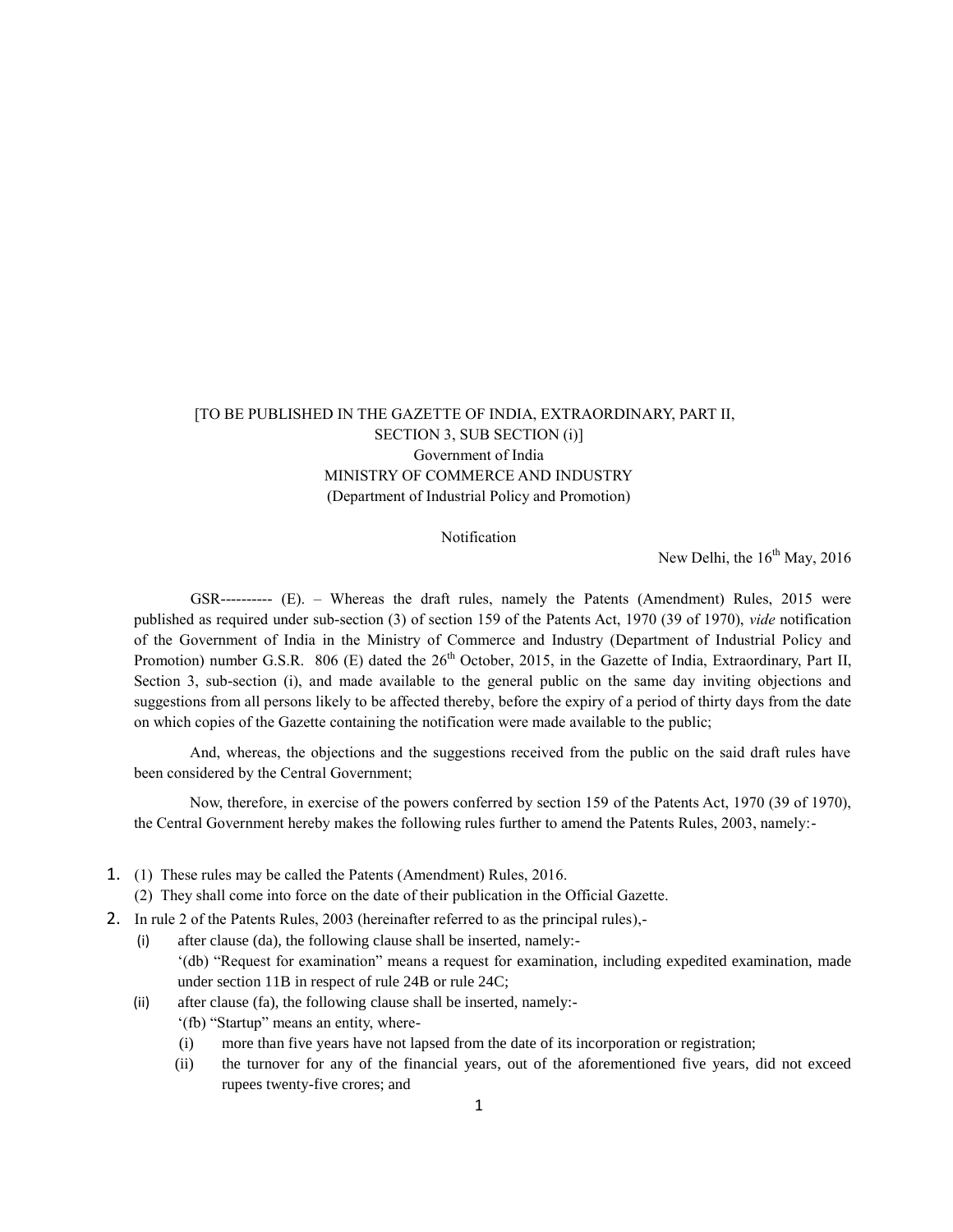#### [TO BE PUBLISHED IN THE GAZETTE OF INDIA, EXTRAORDINARY, PART II, SECTION 3, SUB SECTION (i)] Government of India MINISTRY OF COMMERCE AND INDUSTRY (Department of Industrial Policy and Promotion)

#### Notification

New Delhi, the  $16<sup>th</sup>$  May, 2016

GSR---------- (E). – Whereas the draft rules, namely the Patents (Amendment) Rules, 2015 were published as required under sub-section (3) of section 159 of the Patents Act, 1970 (39 of 1970), *vide* notification of the Government of India in the Ministry of Commerce and Industry (Department of Industrial Policy and Promotion) number G.S.R. 806 (E) dated the  $26<sup>th</sup>$  October, 2015, in the Gazette of India, Extraordinary, Part II, Section 3, sub-section (i), and made available to the general public on the same day inviting objections and suggestions from all persons likely to be affected thereby, before the expiry of a period of thirty days from the date on which copies of the Gazette containing the notification were made available to the public;

And, whereas, the objections and the suggestions received from the public on the said draft rules have been considered by the Central Government;

Now, therefore, in exercise of the powers conferred by section 159 of the Patents Act, 1970 (39 of 1970), the Central Government hereby makes the following rules further to amend the Patents Rules, 2003, namely:-

- 1. (1) These rules may be called the Patents (Amendment) Rules, 2016.
- (2) They shall come into force on the date of their publication in the Official Gazette.
- 2. In rule 2 of the Patents Rules, 2003 (hereinafter referred to as the principal rules),-
	- (i) after clause (da), the following clause shall be inserted, namely:- ‗(db) ―Request for examination‖ means a request for examination, including expedited examination, made under section 11B in respect of rule 24B or rule 24C;
	- (ii) after clause (fa), the following clause shall be inserted, namely:-
		- $'(fb)$  "Startup" means an entity, where-
		- (i) more than five years have not lapsed from the date of its incorporation or registration;
		- (ii) the turnover for any of the financial years, out of the aforementioned five years, did not exceed rupees twenty-five crores; and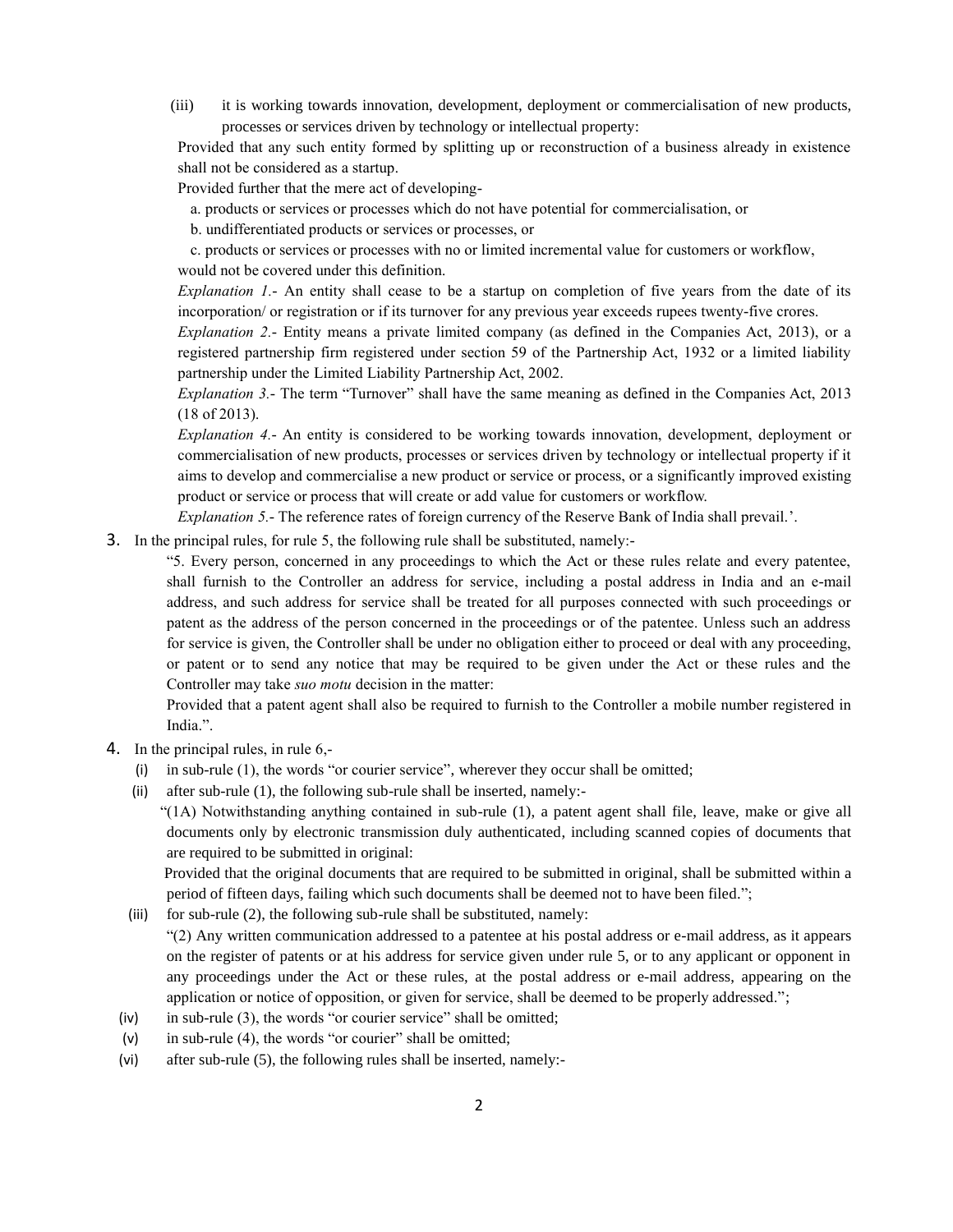(iii) it is working towards innovation, development, deployment or commercialisation of new products, processes or services driven by technology or intellectual property:

Provided that any such entity formed by splitting up or reconstruction of a business already in existence shall not be considered as a startup.

Provided further that the mere act of developing-

a. products or services or processes which do not have potential for commercialisation, or

b. undifferentiated products or services or processes, or

c. products or services or processes with no or limited incremental value for customers or workflow, would not be covered under this definition.

*Explanation 1.*- An entity shall cease to be a startup on completion of five years from the date of its incorporation/ or registration or if its turnover for any previous year exceeds rupees twenty-five crores.

*Explanation 2.*- Entity means a private limited company (as defined in the Companies Act, 2013), or a registered partnership firm registered under section 59 of the Partnership Act, 1932 or a limited liability partnership under the Limited Liability Partnership Act, 2002.

*Explanation 3.*- The term "Turnover" shall have the same meaning as defined in the Companies Act, 2013 (18 of 2013).

*Explanation 4.*- An entity is considered to be working towards innovation, development, deployment or commercialisation of new products, processes or services driven by technology or intellectual property if it aims to develop and commercialise a new product or service or process, or a significantly improved existing product or service or process that will create or add value for customers or workflow.

*Explanation 5.*- The reference rates of foreign currency of the Reserve Bank of India shall prevail.'.

3. In the principal rules, for rule 5, the following rule shall be substituted, namely:-

―5. Every person, concerned in any proceedings to which the Act or these rules relate and every patentee, shall furnish to the Controller an address for service, including a postal address in India and an e-mail address, and such address for service shall be treated for all purposes connected with such proceedings or patent as the address of the person concerned in the proceedings or of the patentee. Unless such an address for service is given, the Controller shall be under no obligation either to proceed or deal with any proceeding, or patent or to send any notice that may be required to be given under the Act or these rules and the Controller may take *suo motu* decision in the matter:

Provided that a patent agent shall also be required to furnish to the Controller a mobile number registered in India.".

- 4. In the principal rules, in rule 6,-
	- (i) in sub-rule  $(1)$ , the words "or courier service", wherever they occur shall be omitted;
	- (ii) after sub-rule (1), the following sub-rule shall be inserted, namely:-

 ―(1A) Notwithstanding anything contained in sub-rule (1), a patent agent shall file, leave, make or give all documents only by electronic transmission duly authenticated, including scanned copies of documents that are required to be submitted in original:

 Provided that the original documents that are required to be submitted in original, shall be submitted within a period of fifteen days, failing which such documents shall be deemed not to have been filed.";

(iii) for sub-rule (2), the following sub-rule shall be substituted, namely:

―(2) Any written communication addressed to a patentee at his postal address or e-mail address, as it appears on the register of patents or at his address for service given under rule 5, or to any applicant or opponent in any proceedings under the Act or these rules, at the postal address or e-mail address, appearing on the application or notice of opposition, or given for service, shall be deemed to be properly addressed.";

- (iv) in sub-rule  $(3)$ , the words "or courier service" shall be omitted;
- (v) in sub-rule (4), the words "or courier" shall be omitted;
- (vi) after sub-rule (5), the following rules shall be inserted, namely:-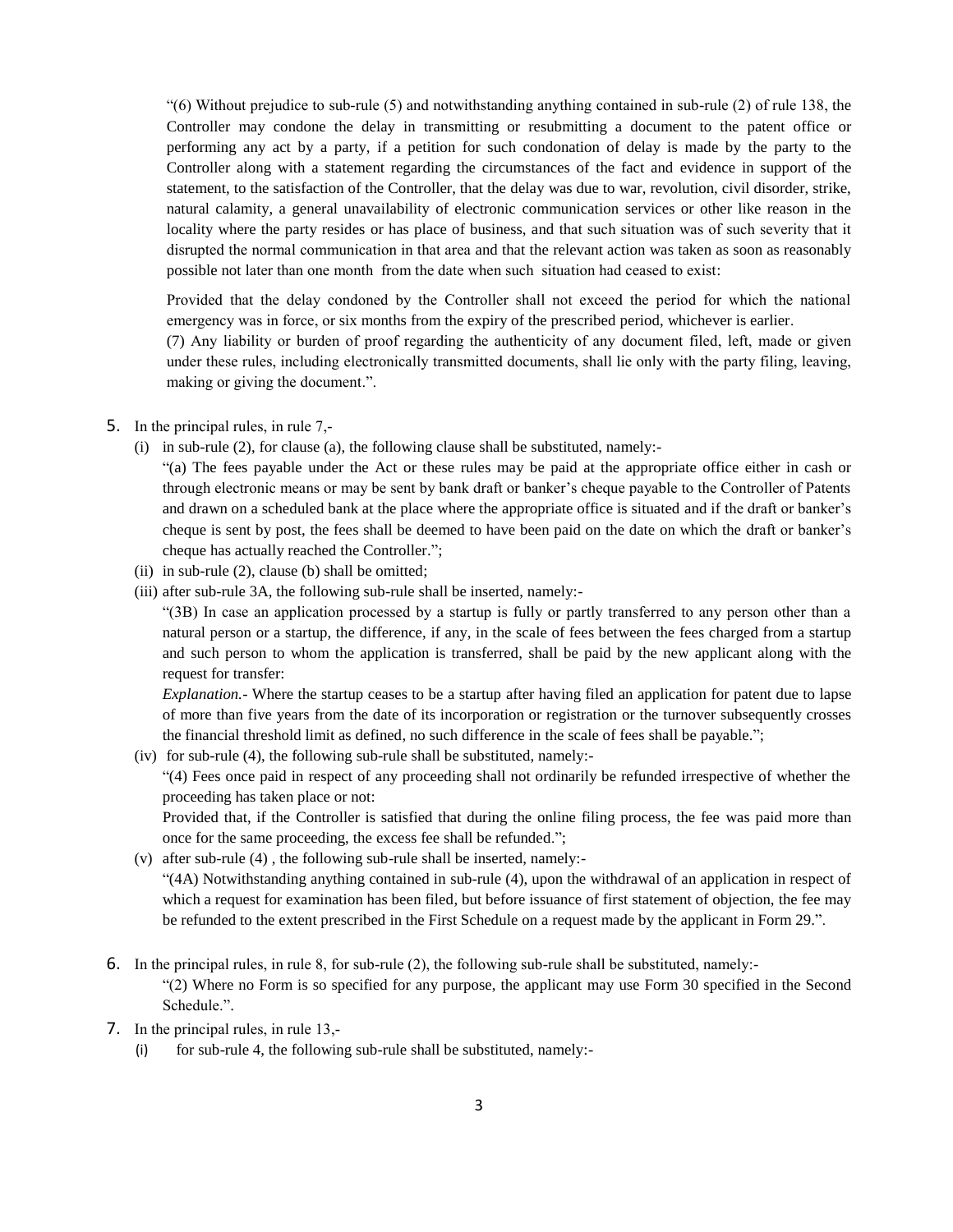$(6)$  Without prejudice to sub-rule (5) and notwithstanding anything contained in sub-rule (2) of rule 138, the Controller may condone the delay in transmitting or resubmitting a document to the patent office or performing any act by a party, if a petition for such condonation of delay is made by the party to the Controller along with a statement regarding the circumstances of the fact and evidence in support of the statement, to the satisfaction of the Controller, that the delay was due to war, revolution, civil disorder, strike, natural calamity, a general unavailability of electronic communication services or other like reason in the locality where the party resides or has place of business, and that such situation was of such severity that it disrupted the normal communication in that area and that the relevant action was taken as soon as reasonably possible not later than one month from the date when such situation had ceased to exist:

Provided that the delay condoned by the Controller shall not exceed the period for which the national emergency was in force, or six months from the expiry of the prescribed period, whichever is earlier.

(7) Any liability or burden of proof regarding the authenticity of any document filed, left, made or given under these rules, including electronically transmitted documents, shall lie only with the party filing, leaving, making or giving the document.".

- 5. In the principal rules, in rule 7,-
	- (i) in sub-rule (2), for clause (a), the following clause shall be substituted, namely:-

―(a) The fees payable under the Act or these rules may be paid at the appropriate office either in cash or through electronic means or may be sent by bank draft or banker's cheque payable to the Controller of Patents and drawn on a scheduled bank at the place where the appropriate office is situated and if the draft or banker's cheque is sent by post, the fees shall be deemed to have been paid on the date on which the draft or banker's cheque has actually reached the Controller.";

- (ii) in sub-rule (2), clause (b) shall be omitted;
- (iii) after sub-rule 3A, the following sub-rule shall be inserted, namely:-

―(3B) In case an application processed by a startup is fully or partly transferred to any person other than a natural person or a startup, the difference, if any, in the scale of fees between the fees charged from a startup and such person to whom the application is transferred, shall be paid by the new applicant along with the request for transfer:

*Explanation.-* Where the startup ceases to be a startup after having filed an application for patent due to lapse of more than five years from the date of its incorporation or registration or the turnover subsequently crosses the financial threshold limit as defined, no such difference in the scale of fees shall be payable.";

(iv) for sub-rule (4), the following sub-rule shall be substituted, namely:-

―(4) Fees once paid in respect of any proceeding shall not ordinarily be refunded irrespective of whether the proceeding has taken place or not:

Provided that, if the Controller is satisfied that during the online filing process, the fee was paid more than once for the same proceeding, the excess fee shall be refunded.";

(v) after sub-rule (4) , the following sub-rule shall be inserted, namely:-

―(4A) Notwithstanding anything contained in sub-rule (4), upon the withdrawal of an application in respect of which a request for examination has been filed, but before issuance of first statement of objection, the fee may be refunded to the extent prescribed in the First Schedule on a request made by the applicant in Form 29.".

6. In the principal rules, in rule 8, for sub-rule (2), the following sub-rule shall be substituted, namely:-

―(2) Where no Form is so specified for any purpose, the applicant may use Form 30 specified in the Second Schedule.".

- 7. In the principal rules, in rule 13,-
	- (i) for sub-rule 4, the following sub-rule shall be substituted, namely:-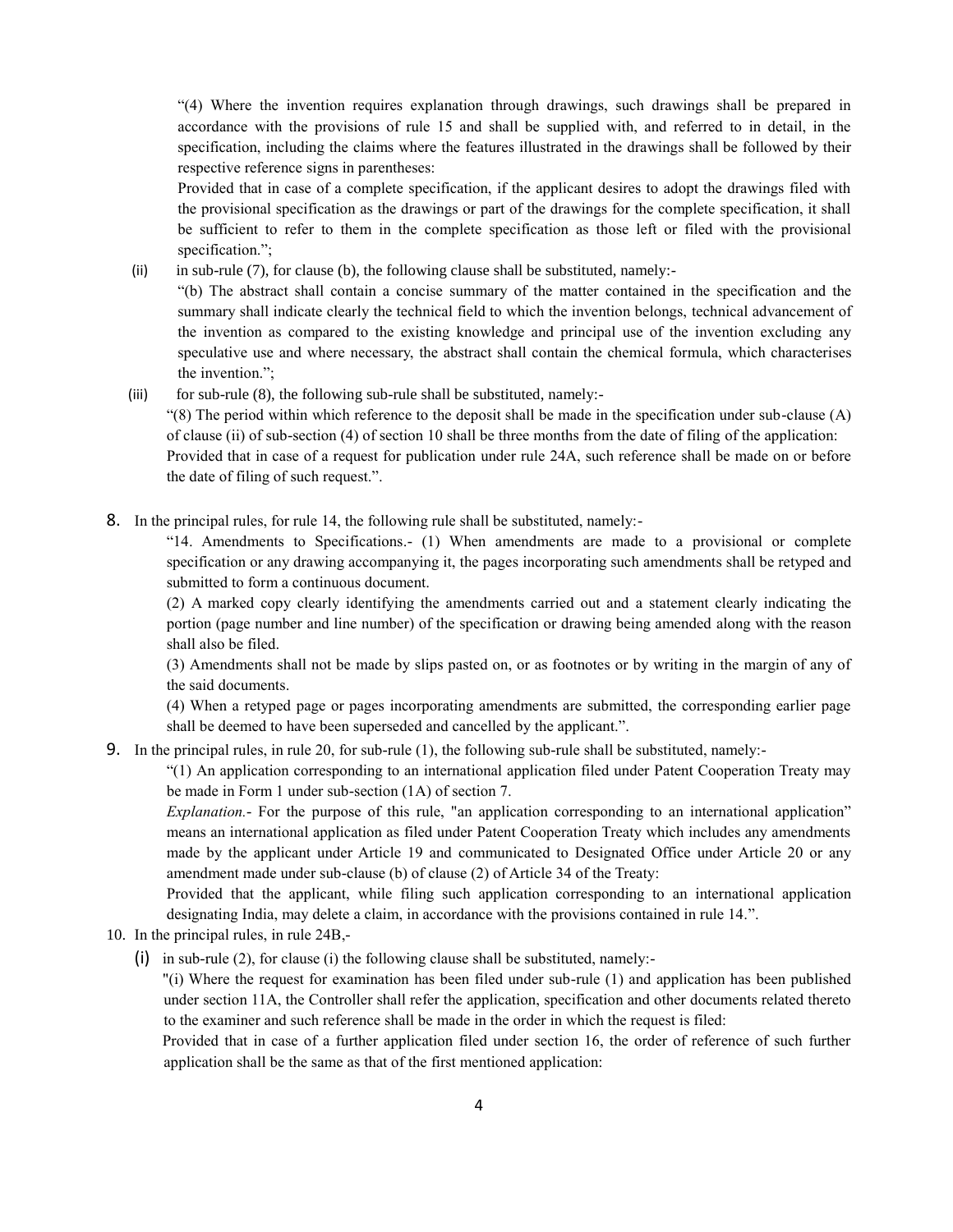―(4) Where the invention requires explanation through drawings, such drawings shall be prepared in accordance with the provisions of rule 15 and shall be supplied with, and referred to in detail, in the specification, including the claims where the features illustrated in the drawings shall be followed by their respective reference signs in parentheses:

Provided that in case of a complete specification, if the applicant desires to adopt the drawings filed with the provisional specification as the drawings or part of the drawings for the complete specification, it shall be sufficient to refer to them in the complete specification as those left or filed with the provisional specification.";

(ii) in sub-rule (7), for clause (b), the following clause shall be substituted, namely:-

―(b) The abstract shall contain a concise summary of the matter contained in the specification and the summary shall indicate clearly the technical field to which the invention belongs, technical advancement of the invention as compared to the existing knowledge and principal use of the invention excluding any speculative use and where necessary, the abstract shall contain the chemical formula, which characterises the invention.":

(iii) for sub-rule (8), the following sub-rule shall be substituted, namely:-

 $\degree$ (8) The period within which reference to the deposit shall be made in the specification under sub-clause (A) of clause (ii) of sub-section (4) of section 10 shall be three months from the date of filing of the application: Provided that in case of a request for publication under rule 24A, such reference shall be made on or before the date of filing of such request.".

8. In the principal rules, for rule 14, the following rule shall be substituted, namely:-

―14. Amendments to Specifications.- (1) When amendments are made to a provisional or complete specification or any drawing accompanying it, the pages incorporating such amendments shall be retyped and submitted to form a continuous document.

(2) A marked copy clearly identifying the amendments carried out and a statement clearly indicating the portion (page number and line number) of the specification or drawing being amended along with the reason shall also be filed.

(3) Amendments shall not be made by slips pasted on, or as footnotes or by writing in the margin of any of the said documents.

(4) When a retyped page or pages incorporating amendments are submitted, the corresponding earlier page shall be deemed to have been superseded and cancelled by the applicant.".

9. In the principal rules, in rule 20, for sub-rule (1), the following sub-rule shall be substituted, namely:-

―(1) An application corresponding to an international application filed under Patent Cooperation Treaty may be made in Form 1 under sub-section (1A) of section 7.

*Explanation.*- For the purpose of this rule, "an application corresponding to an international application" means an international application as filed under Patent Cooperation Treaty which includes any amendments made by the applicant under Article 19 and communicated to Designated Office under Article 20 or any amendment made under sub-clause (b) of clause (2) of Article 34 of the Treaty:

Provided that the applicant, while filing such application corresponding to an international application designating India, may delete a claim, in accordance with the provisions contained in rule 14.".

- 10. In the principal rules, in rule 24B,-
	- (i) in sub-rule (2), for clause (i) the following clause shall be substituted, namely:-

"(i) Where the request for examination has been filed under sub-rule (1) and application has been published under section 11A, the Controller shall refer the application, specification and other documents related thereto to the examiner and such reference shall be made in the order in which the request is filed:

Provided that in case of a further application filed under section 16, the order of reference of such further application shall be the same as that of the first mentioned application: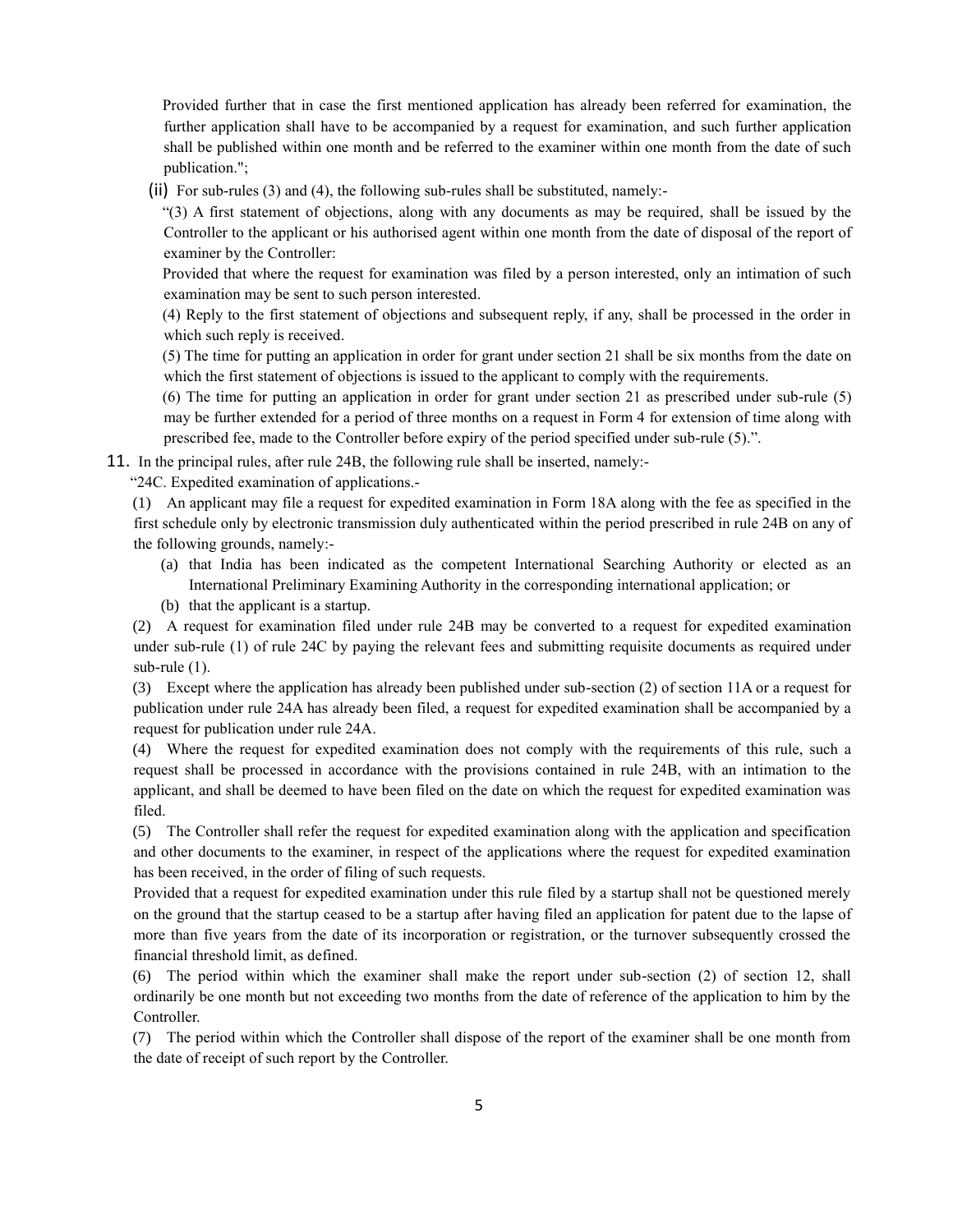Provided further that in case the first mentioned application has already been referred for examination, the further application shall have to be accompanied by a request for examination, and such further application shall be published within one month and be referred to the examiner within one month from the date of such publication.";

(ii) For sub-rules (3) and (4), the following sub-rules shall be substituted, namely:-

―(3) A first statement of objections, along with any documents as may be required, shall be issued by the Controller to the applicant or his authorised agent within one month from the date of disposal of the report of examiner by the Controller:

Provided that where the request for examination was filed by a person interested, only an intimation of such examination may be sent to such person interested.

(4) Reply to the first statement of objections and subsequent reply, if any, shall be processed in the order in which such reply is received.

(5) The time for putting an application in order for grant under section 21 shall be six months from the date on which the first statement of objections is issued to the applicant to comply with the requirements.

(6) The time for putting an application in order for grant under section 21 as prescribed under sub-rule (5) may be further extended for a period of three months on a request in Form 4 for extension of time along with prescribed fee, made to the Controller before expiry of the period specified under sub-rule (5).".

11. In the principal rules, after rule 24B, the following rule shall be inserted, namely:-

―24C. Expedited examination of applications.-

(1) An applicant may file a request for expedited examination in Form 18A along with the fee as specified in the first schedule only by electronic transmission duly authenticated within the period prescribed in rule 24B on any of the following grounds, namely:-

- (a) that India has been indicated as the competent International Searching Authority or elected as an International Preliminary Examining Authority in the corresponding international application; or
- (b) that the applicant is a startup.

(2) A request for examination filed under rule 24B may be converted to a request for expedited examination under sub-rule (1) of rule 24C by paying the relevant fees and submitting requisite documents as required under sub-rule (1).

(3) Except where the application has already been published under sub-section (2) of section 11A or a request for publication under rule 24A has already been filed, a request for expedited examination shall be accompanied by a request for publication under rule 24A.

(4) Where the request for expedited examination does not comply with the requirements of this rule, such a request shall be processed in accordance with the provisions contained in rule 24B, with an intimation to the applicant, and shall be deemed to have been filed on the date on which the request for expedited examination was filed.

(5) The Controller shall refer the request for expedited examination along with the application and specification and other documents to the examiner, in respect of the applications where the request for expedited examination has been received, in the order of filing of such requests.

Provided that a request for expedited examination under this rule filed by a startup shall not be questioned merely on the ground that the startup ceased to be a startup after having filed an application for patent due to the lapse of more than five years from the date of its incorporation or registration, or the turnover subsequently crossed the financial threshold limit, as defined.

(6) The period within which the examiner shall make the report under sub-section (2) of section 12, shall ordinarily be one month but not exceeding two months from the date of reference of the application to him by the Controller.

(7) The period within which the Controller shall dispose of the report of the examiner shall be one month from the date of receipt of such report by the Controller.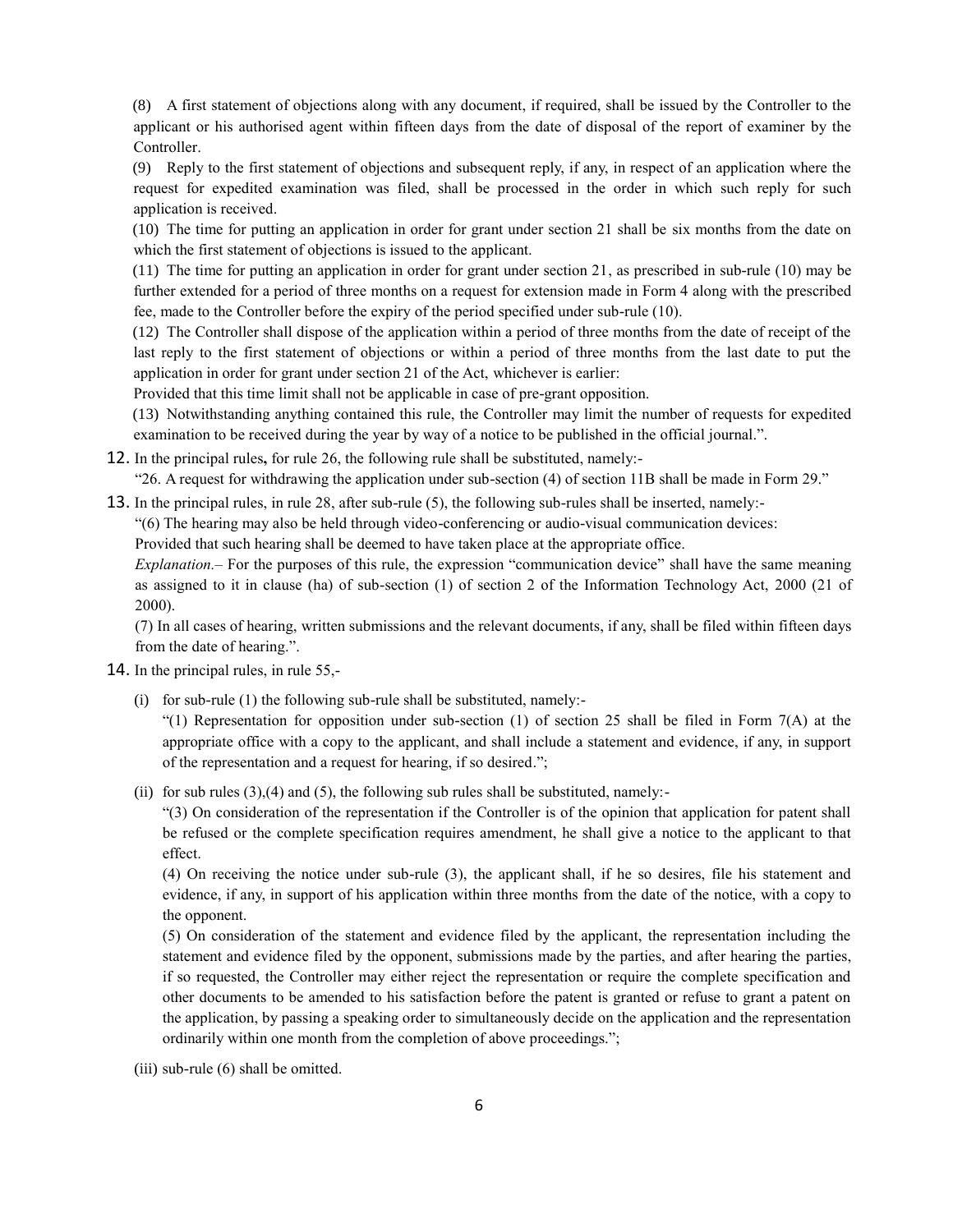(8) A first statement of objections along with any document, if required, shall be issued by the Controller to the applicant or his authorised agent within fifteen days from the date of disposal of the report of examiner by the Controller.

(9) Reply to the first statement of objections and subsequent reply, if any, in respect of an application where the request for expedited examination was filed, shall be processed in the order in which such reply for such application is received.

(10) The time for putting an application in order for grant under section 21 shall be six months from the date on which the first statement of objections is issued to the applicant.

(11) The time for putting an application in order for grant under section 21, as prescribed in sub-rule (10) may be further extended for a period of three months on a request for extension made in Form 4 along with the prescribed fee, made to the Controller before the expiry of the period specified under sub-rule (10).

(12) The Controller shall dispose of the application within a period of three months from the date of receipt of the last reply to the first statement of objections or within a period of three months from the last date to put the application in order for grant under section 21 of the Act, whichever is earlier:

Provided that this time limit shall not be applicable in case of pre-grant opposition.

(13) Notwithstanding anything contained this rule, the Controller may limit the number of requests for expedited examination to be received during the year by way of a notice to be published in the official journal.".

12. In the principal rules**,** for rule 26, the following rule shall be substituted, namely:-

"26. A request for withdrawing the application under sub-section (4) of section 11B shall be made in Form 29."

13. In the principal rules, in rule 28, after sub-rule (5), the following sub-rules shall be inserted, namely:-

―(6) The hearing may also be held through video-conferencing or audio-visual communication devices:

Provided that such hearing shall be deemed to have taken place at the appropriate office.

*Explanation.*– For the purposes of this rule, the expression "communication device" shall have the same meaning as assigned to it in clause (ha) of sub-section (1) of section 2 of the Information Technology Act, 2000 (21 of 2000).

(7) In all cases of hearing, written submissions and the relevant documents, if any, shall be filed within fifteen days from the date of hearing.".

14. In the principal rules, in rule 55,-

(i) for sub-rule (1) the following sub-rule shall be substituted, namely:-

"(1) Representation for opposition under sub-section (1) of section 25 shall be filed in Form 7(A) at the appropriate office with a copy to the applicant, and shall include a statement and evidence, if any, in support of the representation and a request for hearing, if so desired.";

(ii) for sub rules  $(3)$ ,  $(4)$  and  $(5)$ , the following sub rules shall be substituted, namely:

―(3) On consideration of the representation if the Controller is of the opinion that application for patent shall be refused or the complete specification requires amendment, he shall give a notice to the applicant to that effect.

(4) On receiving the notice under sub-rule (3), the applicant shall, if he so desires, file his statement and evidence, if any, in support of his application within three months from the date of the notice, with a copy to the opponent.

(5) On consideration of the statement and evidence filed by the applicant, the representation including the statement and evidence filed by the opponent, submissions made by the parties, and after hearing the parties, if so requested, the Controller may either reject the representation or require the complete specification and other documents to be amended to his satisfaction before the patent is granted or refuse to grant a patent on the application, by passing a speaking order to simultaneously decide on the application and the representation ordinarily within one month from the completion of above proceedings.";

(iii) sub-rule (6) shall be omitted.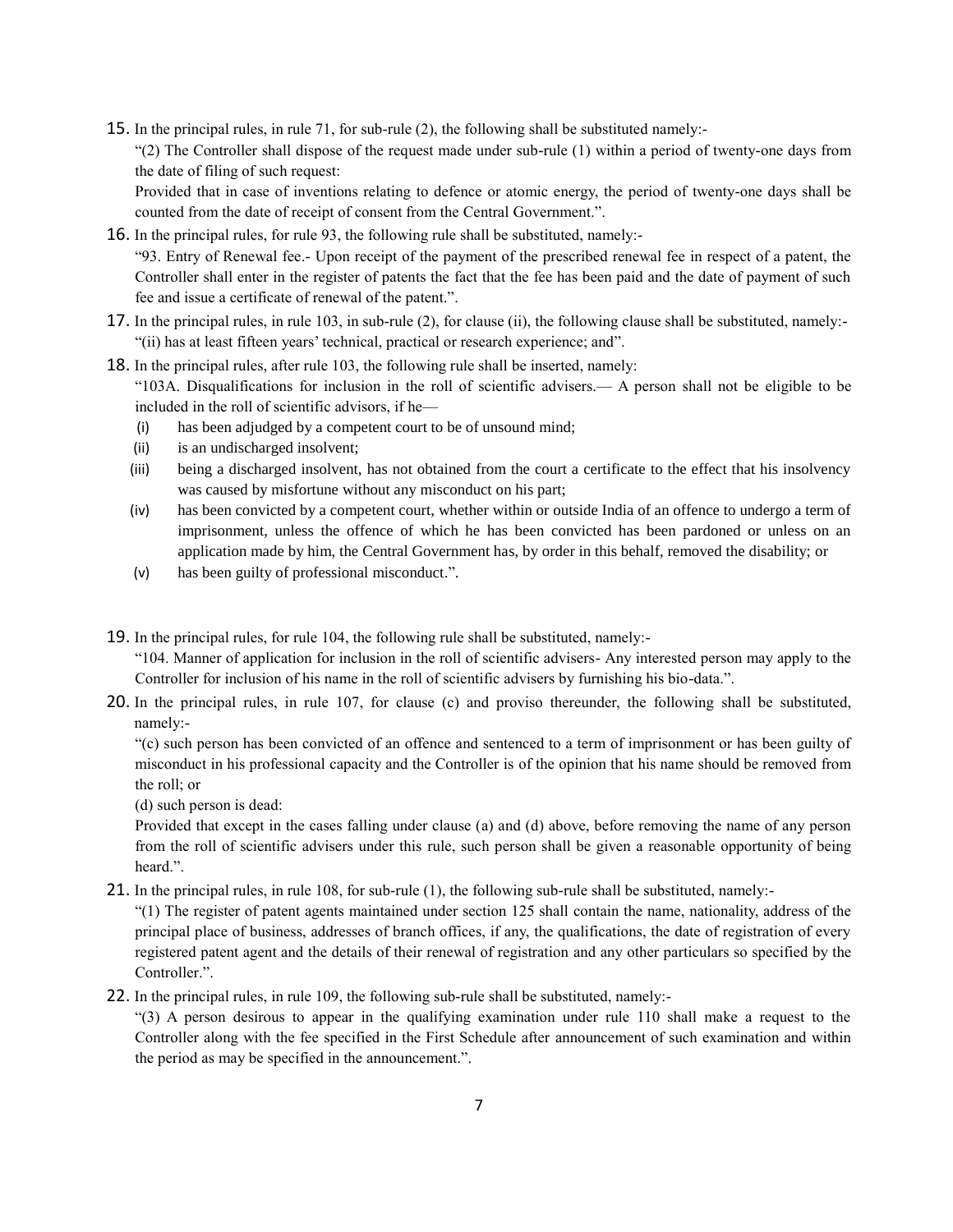15. In the principal rules, in rule 71, for sub-rule (2), the following shall be substituted namely:-  $(2)$  The Controller shall dispose of the request made under sub-rule  $(1)$  within a period of twenty-one days from the date of filing of such request:

Provided that in case of inventions relating to defence or atomic energy, the period of twenty-one days shall be counted from the date of receipt of consent from the Central Government.".

- 16. In the principal rules, for rule 93, the following rule shall be substituted, namely:- ―93. Entry of Renewal fee.- Upon receipt of the payment of the prescribed renewal fee in respect of a patent, the Controller shall enter in the register of patents the fact that the fee has been paid and the date of payment of such fee and issue a certificate of renewal of the patent.".
- 17. In the principal rules, in rule 103, in sub-rule (2), for clause (ii), the following clause shall be substituted, namely:- "(ii) has at least fifteen years' technical, practical or research experience; and".
- 18. In the principal rules, after rule 103, the following rule shall be inserted, namely: ―103A. Disqualifications for inclusion in the roll of scientific advisers.— A person shall not be eligible to be included in the roll of scientific advisors, if he—
	- (i) has been adjudged by a competent court to be of unsound mind;
	- (ii) is an undischarged insolvent;
	- (iii) being a discharged insolvent, has not obtained from the court a certificate to the effect that his insolvency was caused by misfortune without any misconduct on his part;
	- (iv) has been convicted by a competent court, whether within or outside India of an offence to undergo a term of imprisonment, unless the offence of which he has been convicted has been pardoned or unless on an application made by him, the Central Government has, by order in this behalf, removed the disability; or
	- $(v)$  has been guilty of professional misconduct.".
- 19. In the principal rules, for rule 104, the following rule shall be substituted, namely:-

―104. Manner of application for inclusion in the roll of scientific advisers- Any interested person may apply to the Controller for inclusion of his name in the roll of scientific advisers by furnishing his bio-data.".

20. In the principal rules, in rule 107, for clause (c) and proviso thereunder, the following shall be substituted, namely:-

―(c) such person has been convicted of an offence and sentenced to a term of imprisonment or has been guilty of misconduct in his professional capacity and the Controller is of the opinion that his name should be removed from the roll; or

(d) such person is dead:

Provided that except in the cases falling under clause (a) and (d) above, before removing the name of any person from the roll of scientific advisers under this rule, such person shall be given a reasonable opportunity of being heard."

21. In the principal rules, in rule 108, for sub-rule (1), the following sub-rule shall be substituted, namely:-

 $(1)$  The register of patent agents maintained under section 125 shall contain the name, nationality, address of the principal place of business, addresses of branch offices, if any, the qualifications, the date of registration of every registered patent agent and the details of their renewal of registration and any other particulars so specified by the Controller.".

- 22. In the principal rules, in rule 109, the following sub-rule shall be substituted, namely:-
	- ―(3) A person desirous to appear in the qualifying examination under rule 110 shall make a request to the Controller along with the fee specified in the First Schedule after announcement of such examination and within the period as may be specified in the announcement.".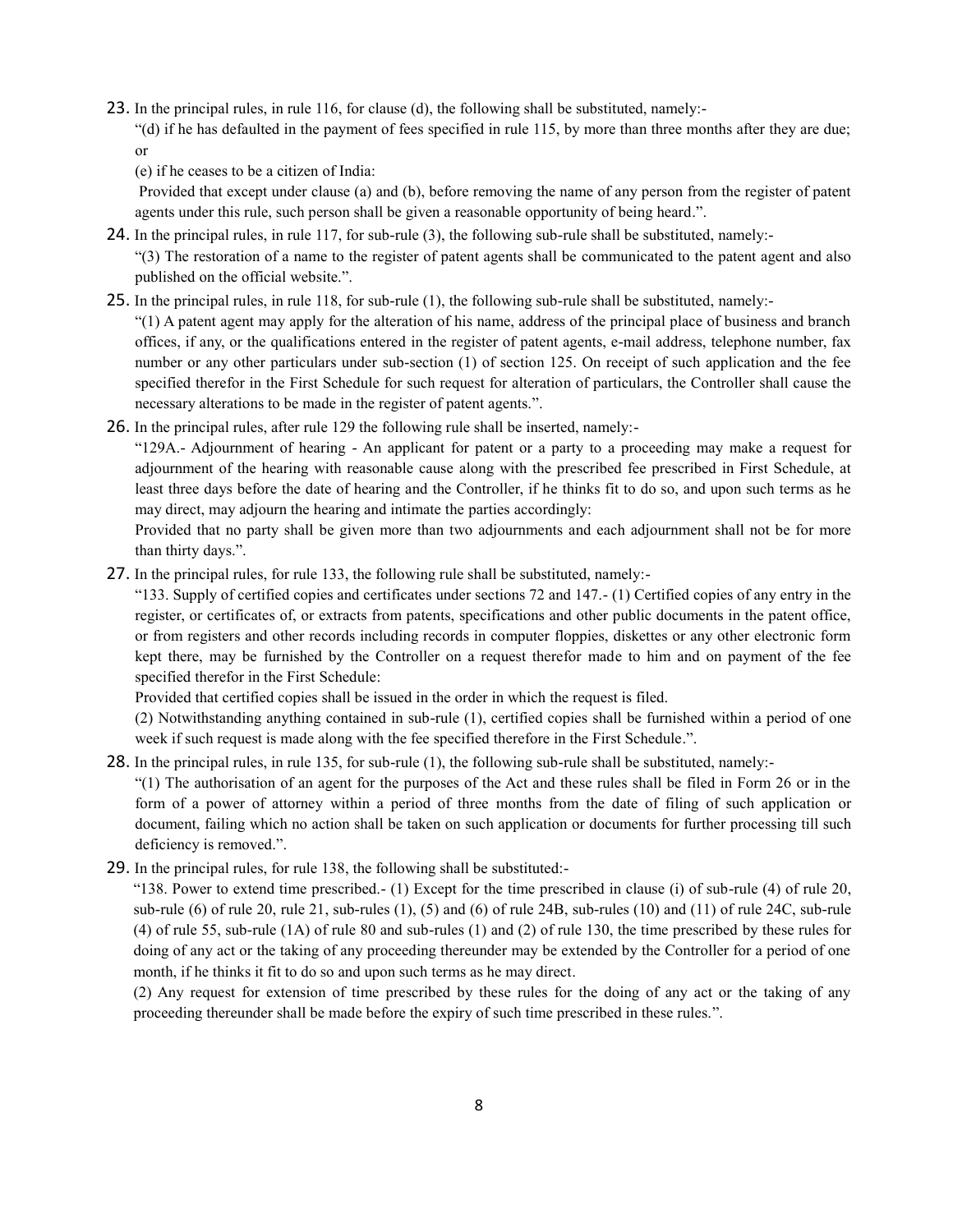23. In the principal rules, in rule 116, for clause (d), the following shall be substituted, namely:-

"(d) if he has defaulted in the payment of fees specified in rule 115, by more than three months after they are due; or

(e) if he ceases to be a citizen of India:

Provided that except under clause (a) and (b), before removing the name of any person from the register of patent agents under this rule, such person shall be given a reasonable opportunity of being heard.".

- 24. In the principal rules, in rule 117, for sub-rule (3), the following sub-rule shall be substituted, namely:- ―(3) The restoration of a name to the register of patent agents shall be communicated to the patent agent and also published on the official website.".
- 25. In the principal rules, in rule 118, for sub-rule (1), the following sub-rule shall be substituted, namely:-

―(1) A patent agent may apply for the alteration of his name, address of the principal place of business and branch offices, if any, or the qualifications entered in the register of patent agents, e-mail address, telephone number, fax number or any other particulars under sub-section (1) of section 125. On receipt of such application and the fee specified therefor in the First Schedule for such request for alteration of particulars, the Controller shall cause the necessary alterations to be made in the register of patent agents.".

26. In the principal rules, after rule 129 the following rule shall be inserted, namely:-

―129A.- Adjournment of hearing - An applicant for patent or a party to a proceeding may make a request for adjournment of the hearing with reasonable cause along with the prescribed fee prescribed in First Schedule, at least three days before the date of hearing and the Controller, if he thinks fit to do so, and upon such terms as he may direct, may adjourn the hearing and intimate the parties accordingly:

Provided that no party shall be given more than two adjournments and each adjournment shall not be for more than thirty days.".

27. In the principal rules, for rule 133, the following rule shall be substituted, namely:-

―133. Supply of certified copies and certificates under sections 72 and 147.- (1) Certified copies of any entry in the register, or certificates of, or extracts from patents, specifications and other public documents in the patent office, or from registers and other records including records in computer floppies, diskettes or any other electronic form kept there, may be furnished by the Controller on a request therefor made to him and on payment of the fee specified therefor in the First Schedule:

Provided that certified copies shall be issued in the order in which the request is filed.

(2) Notwithstanding anything contained in sub-rule (1), certified copies shall be furnished within a period of one week if such request is made along with the fee specified therefore in the First Schedule.".

28. In the principal rules, in rule 135, for sub-rule (1), the following sub-rule shall be substituted, namely:-

―(1) The authorisation of an agent for the purposes of the Act and these rules shall be filed in Form 26 or in the form of a power of attorney within a period of three months from the date of filing of such application or document, failing which no action shall be taken on such application or documents for further processing till such deficiency is removed.".

29. In the principal rules, for rule 138, the following shall be substituted:-

"138. Power to extend time prescribed.- (1) Except for the time prescribed in clause (i) of sub-rule (4) of rule 20, sub-rule (6) of rule 20, rule 21, sub-rules (1), (5) and (6) of rule 24B, sub-rules (10) and (11) of rule 24C, sub-rule (4) of rule 55, sub-rule (1A) of rule 80 and sub-rules (1) and (2) of rule 130, the time prescribed by these rules for doing of any act or the taking of any proceeding thereunder may be extended by the Controller for a period of one month, if he thinks it fit to do so and upon such terms as he may direct.

(2) Any request for extension of time prescribed by these rules for the doing of any act or the taking of any proceeding thereunder shall be made before the expiry of such time prescribed in these rules.".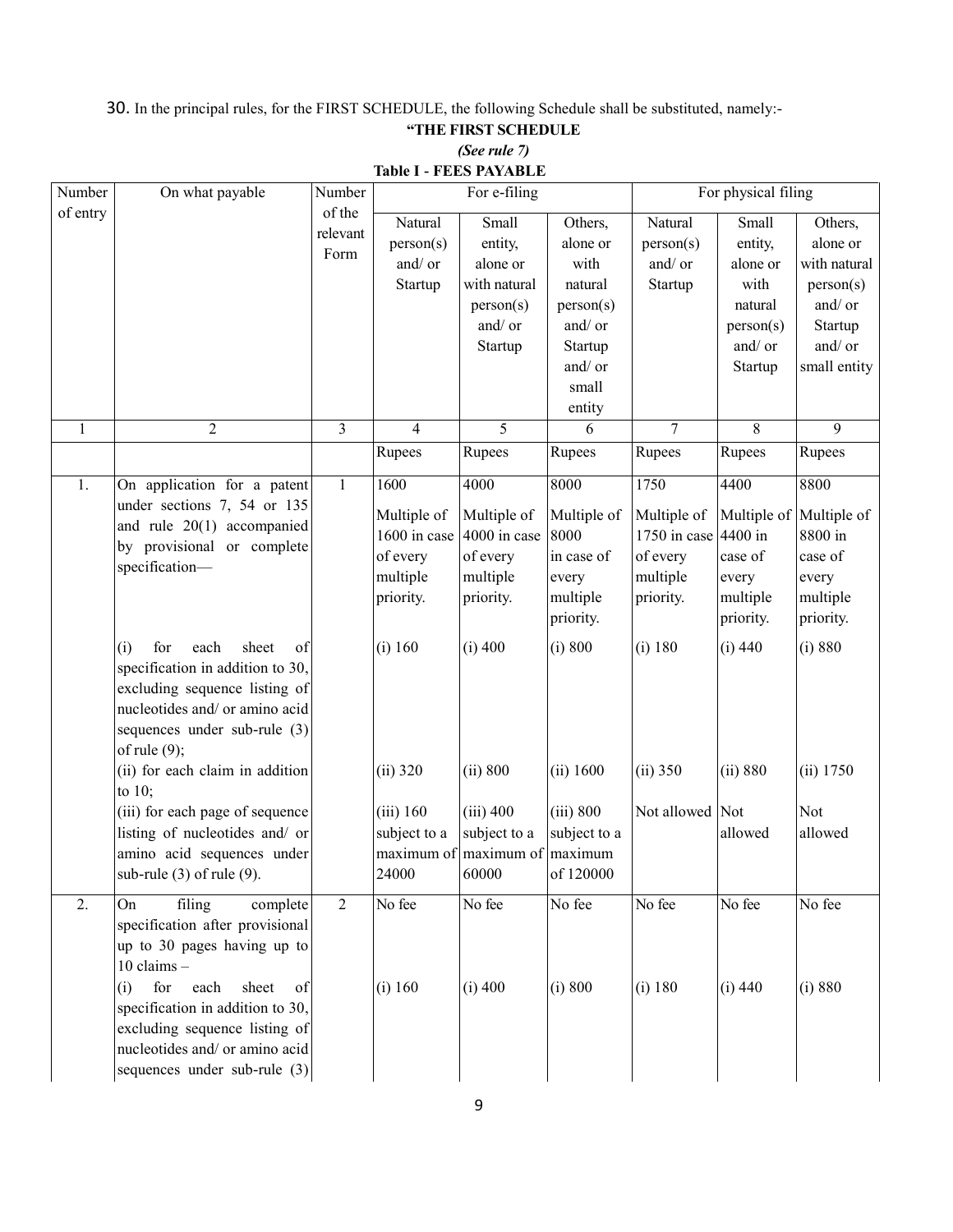30. In the principal rules, for the FIRST SCHEDULE, the following Schedule shall be substituted, namely:-

**"THE FIRST SCHEDULE**

# *(See rule 7)*

| Number       | On what payable                                             | Number         |              | For e-filing                  |              | For physical filing      |                         |              |  |
|--------------|-------------------------------------------------------------|----------------|--------------|-------------------------------|--------------|--------------------------|-------------------------|--------------|--|
| of entry     |                                                             | of the         | Natural      | Small                         | Others,      | Natural                  | Small                   | Others,      |  |
|              |                                                             | relevant       | person(s)    | entity,                       | alone or     | person(s)                | entity,                 | alone or     |  |
|              |                                                             | Form           | and/ or      | alone or                      | with         | and/ or                  | alone or                | with natural |  |
|              |                                                             |                | Startup      | with natural                  | natural      | Startup                  | with                    | person(s)    |  |
|              |                                                             |                |              | person(s)                     | person(s)    |                          | natural                 | and/ or      |  |
|              |                                                             |                |              | and/ or                       | and/ or      |                          | person(s)               | Startup      |  |
|              |                                                             |                |              | Startup                       | Startup      |                          | and/or                  | and/ or      |  |
|              |                                                             |                |              |                               | and/ or      |                          | Startup                 | small entity |  |
|              |                                                             |                |              |                               | small        |                          |                         |              |  |
|              |                                                             | $\overline{3}$ |              | 5                             | entity       |                          |                         | 9            |  |
| $\mathbf{1}$ | $\overline{2}$                                              |                | 4<br>Rupees  |                               | 6<br>Rupees  | $\overline{7}$<br>Rupees | 8<br>Rupees             | Rupees       |  |
|              |                                                             |                |              | Rupees                        |              |                          |                         |              |  |
| 1.           | On application for a patent                                 | $\mathbf{1}$   | 1600         | 4000                          | 8000         | 1750                     | 4400                    | 8800         |  |
|              | under sections 7, 54 or 135<br>and rule $20(1)$ accompanied |                | Multiple of  | Multiple of                   | Multiple of  | Multiple of              | Multiple of Multiple of |              |  |
|              | by provisional or complete                                  |                | 1600 in case | 4000 in case                  | 8000         | 1750 in case             | 4400 in                 | 8800 in      |  |
|              | specification-                                              |                | of every     | of every                      | in case of   | of every                 | case of                 | case of      |  |
|              |                                                             |                | multiple     | multiple                      | every        | multiple                 | every                   | every        |  |
|              |                                                             |                | priority.    | priority.                     | multiple     | priority.                | multiple                | multiple     |  |
|              |                                                             |                |              |                               | priority.    |                          | priority.               | priority.    |  |
|              | for<br>each<br>sheet<br>of<br>(i)                           |                | (i) 160      | $(i)$ 400                     | (i) 800      | (i) 180                  | $(i)$ 440               | (i) 880      |  |
|              | specification in addition to 30,                            |                |              |                               |              |                          |                         |              |  |
|              | excluding sequence listing of                               |                |              |                               |              |                          |                         |              |  |
|              | nucleotides and/ or amino acid                              |                |              |                               |              |                          |                         |              |  |
|              | sequences under sub-rule (3)                                |                |              |                               |              |                          |                         |              |  |
|              | of rule $(9)$ ;                                             |                |              |                               |              |                          |                         |              |  |
|              | (ii) for each claim in addition<br>to $10$ ;                |                | $(ii)$ 320   | $(ii)$ 800                    | (ii) 1600    | $(ii)$ 350               | $(ii)$ 880              | (ii) 1750    |  |
|              | (iii) for each page of sequence                             |                | $(iii)$ 160  | $(iii)$ 400                   | $(iii)$ 800  | Not allowed Not          |                         | <b>Not</b>   |  |
|              | listing of nucleotides and/ or                              |                | subject to a | subject to a                  | subject to a |                          | allowed                 | allowed      |  |
|              | amino acid sequences under                                  |                |              | maximum of maximum of maximum |              |                          |                         |              |  |
|              | sub-rule $(3)$ of rule $(9)$ .                              |                | 24000        | 60000                         | of 120000    |                          |                         |              |  |
| 2.           | filing<br>complete<br>On                                    | $\overline{2}$ | No fee       | No fee                        | No fee       | No fee                   | No fee                  | No fee       |  |
|              | specification after provisional                             |                |              |                               |              |                          |                         |              |  |
|              | up to 30 pages having up to                                 |                |              |                               |              |                          |                         |              |  |
|              | 10 claims -                                                 |                |              |                               |              |                          |                         |              |  |
|              | for<br>each<br>sheet<br>of<br>(i)                           |                | (i) 160      | $(i)$ 400                     | (i) 800      | (i) 180                  | $(i)$ 440               | (i) 880      |  |
|              | specification in addition to 30,                            |                |              |                               |              |                          |                         |              |  |
|              | excluding sequence listing of                               |                |              |                               |              |                          |                         |              |  |
|              | nucleotides and/ or amino acid                              |                |              |                               |              |                          |                         |              |  |
|              | sequences under sub-rule (3)                                |                |              |                               |              |                          |                         |              |  |

**Table I - FEES PAYABLE**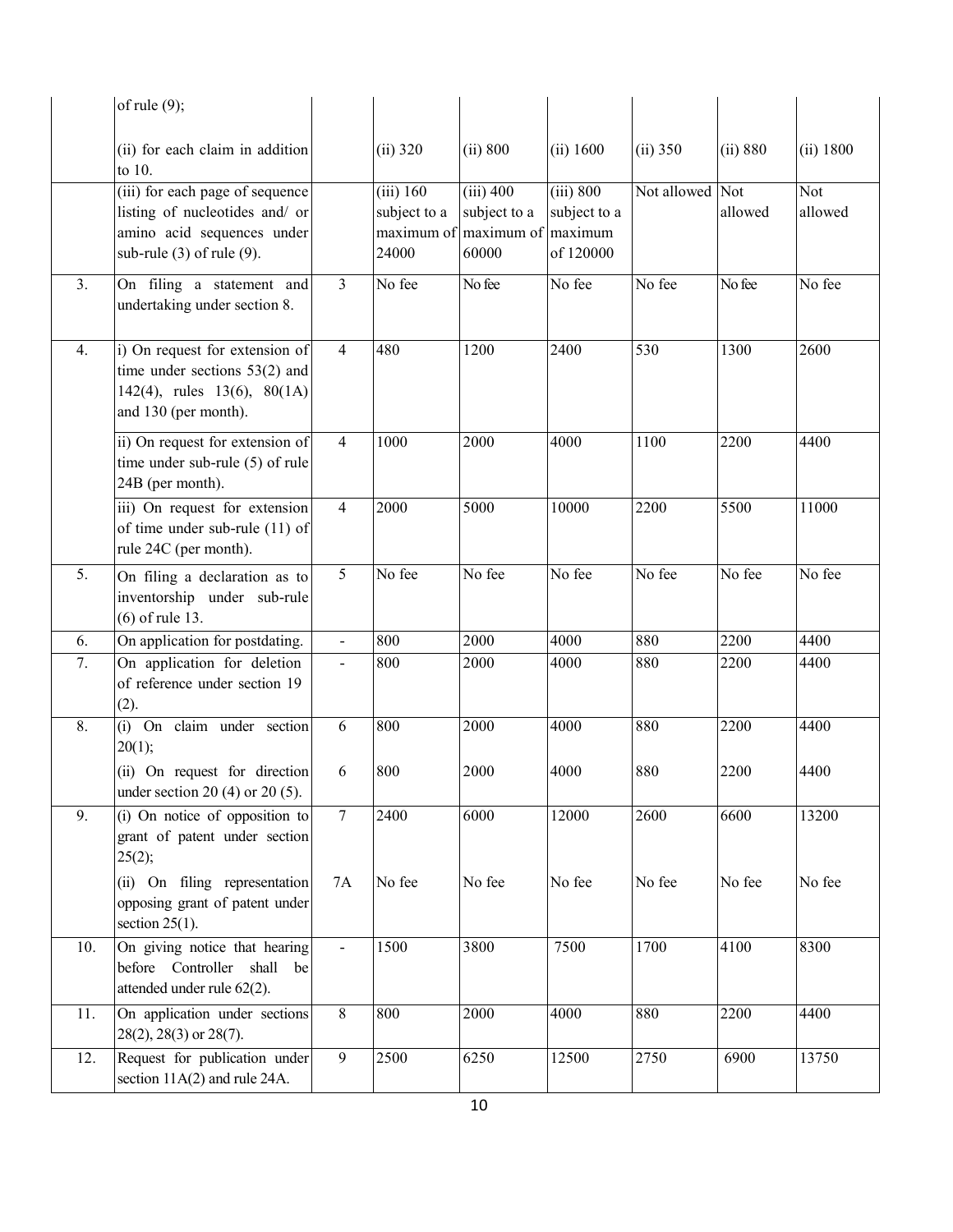|     | of rule $(9)$ ;                                                                                                                   |                |                                      |                                                                       |                                          |                 |            |                |
|-----|-----------------------------------------------------------------------------------------------------------------------------------|----------------|--------------------------------------|-----------------------------------------------------------------------|------------------------------------------|-----------------|------------|----------------|
|     | (ii) for each claim in addition<br>to 10.                                                                                         |                | $(ii)$ 320                           | $(ii)$ 800                                                            | (ii) 1600                                | (ii) 350        | $(ii)$ 880 | (ii) 1800      |
|     | (iii) for each page of sequence<br>listing of nucleotides and/ or<br>amino acid sequences under<br>sub-rule $(3)$ of rule $(9)$ . |                | $(iii)$ 160<br>subject to a<br>24000 | $(iii)$ 400<br>subject to a<br>maximum of maximum of maximum<br>60000 | $(iii)$ 800<br>subject to a<br>of 120000 | Not allowed Not | allowed    | Not<br>allowed |
| 3.  | On filing a statement and<br>undertaking under section 8.                                                                         | $\overline{3}$ | No fee                               | No fee                                                                | No fee                                   | No fee          | No fee     | No fee         |
| 4.  | i) On request for extension of<br>time under sections $53(2)$ and<br>142(4), rules $13(6)$ , $80(1A)$<br>and 130 (per month).     | $\overline{4}$ | 480                                  | 1200                                                                  | 2400                                     | 530             | 1300       | 2600           |
|     | ii) On request for extension of<br>time under sub-rule (5) of rule<br>24B (per month).                                            | $\overline{4}$ | 1000                                 | 2000                                                                  | 4000                                     | 1100            | 2200       | 4400           |
|     | iii) On request for extension<br>of time under sub-rule (11) of<br>rule 24C (per month).                                          | $\overline{4}$ | 2000                                 | 5000                                                                  | 10000                                    | 2200            | 5500       | 11000          |
| 5.  | On filing a declaration as to<br>inventorship under sub-rule<br>$(6)$ of rule 13.                                                 | 5              | No fee                               | No fee                                                                | No fee                                   | No fee          | No fee     | No fee         |
| 6.  | On application for postdating.                                                                                                    | $\omega$       | 800                                  | 2000                                                                  | 4000                                     | 880             | 2200       | 4400           |
| 7.  | On application for deletion<br>of reference under section 19<br>(2).                                                              | $\frac{1}{2}$  | 800                                  | 2000                                                                  | 4000                                     | 880             | 2200       | 4400           |
| 8.  | (i) On claim under section<br>20(1);                                                                                              | 6              | 800                                  | 2000                                                                  | 4000                                     | 880             | 2200       | 4400           |
|     | (ii) On request for direction<br>under section 20 (4) or 20 (5).                                                                  | 6              | 800                                  | 2000                                                                  | 4000                                     | 880             | 2200       | 4400           |
| 9.  | (i) On notice of opposition to<br>grant of patent under section<br>25(2);                                                         | 7              | 2400                                 | 6000                                                                  | 12000                                    | 2600            | 6600       | 13200          |
|     | (ii) On filing representation<br>opposing grant of patent under<br>section $25(1)$ .                                              | 7A             | No fee                               | No fee                                                                | No fee                                   | No fee          | No fee     | No fee         |
| 10. | On giving notice that hearing<br>before Controller<br>shall<br>be<br>attended under rule 62(2).                                   | $\blacksquare$ | 1500                                 | 3800                                                                  | 7500                                     | 1700            | 4100       | 8300           |
| 11. | On application under sections<br>28(2), 28(3) or 28(7).                                                                           | 8              | 800                                  | 2000                                                                  | 4000                                     | 880             | 2200       | 4400           |
| 12. | Request for publication under<br>section 11A(2) and rule 24A.                                                                     | 9              | 2500                                 | 6250                                                                  | 12500                                    | 2750            | 6900       | 13750          |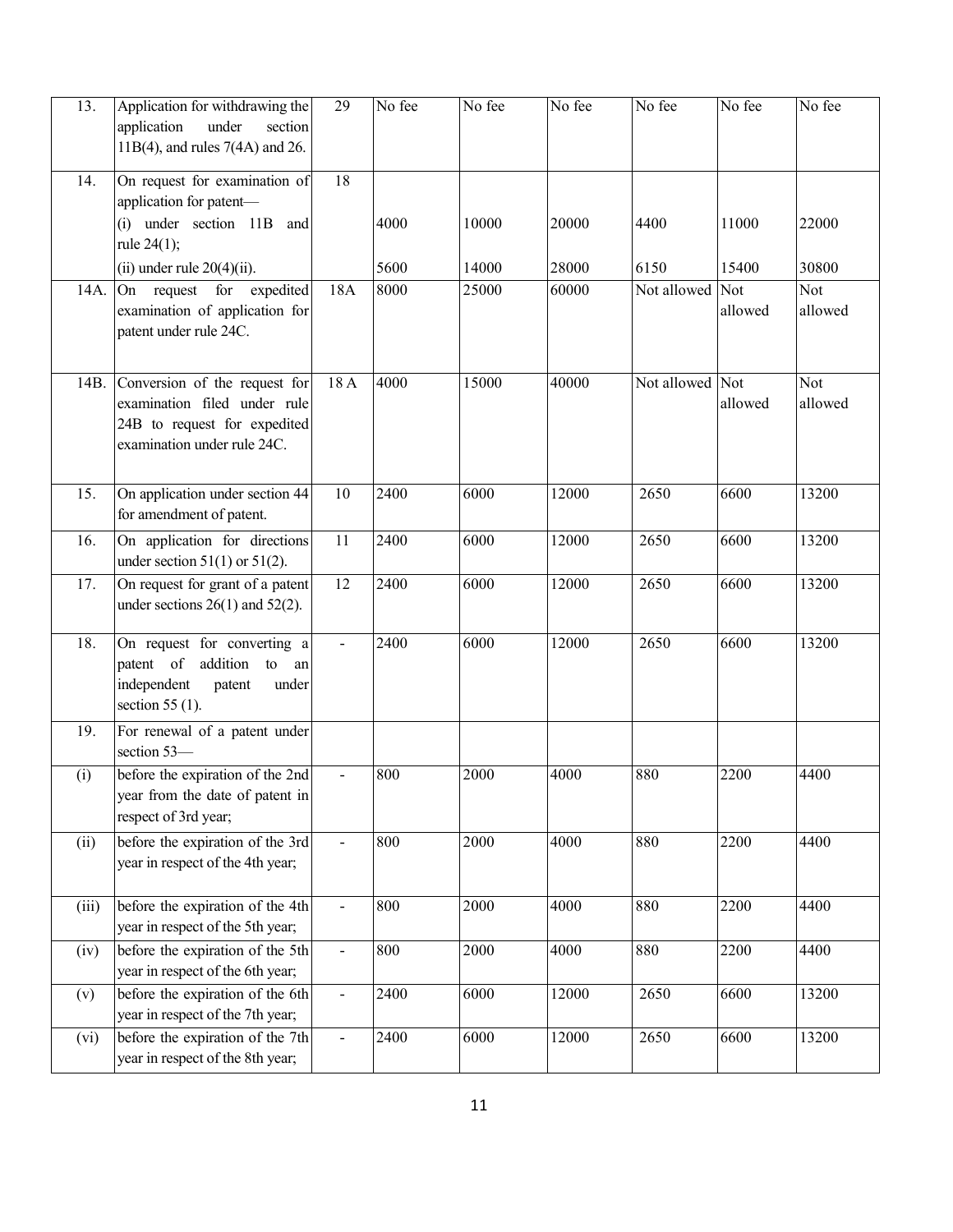| 13.   | Application for withdrawing the<br>under<br>application<br>section<br>$11B(4)$ , and rules 7(4A) and 26.                     | 29                       | No fee           | No fee         | No fee         | No fee          | No fee         | No fee                |
|-------|------------------------------------------------------------------------------------------------------------------------------|--------------------------|------------------|----------------|----------------|-----------------|----------------|-----------------------|
| 14.   | On request for examination of<br>application for patent-<br>(i) under section 11B and<br>rule $24(1)$ ;                      | 18                       | 4000<br>5600     | 10000<br>14000 | 20000<br>28000 | 4400<br>6150    | 11000<br>15400 | 22000<br>30800        |
| 14A.  | (ii) under rule $20(4)(ii)$ .<br>expedited<br>for<br>On request<br>examination of application for<br>patent under rule 24C.  | 18A                      | 8000             | 25000          | 60000          | Not allowed     | Not<br>allowed | Not<br>allowed        |
| 14B.  | Conversion of the request for<br>examination filed under rule<br>24B to request for expedited<br>examination under rule 24C. | 18 A                     | 4000             | 15000          | 40000          | Not allowed Not | allowed        | <b>Not</b><br>allowed |
| 15.   | On application under section 44<br>for amendment of patent.                                                                  | 10                       | 2400             | 6000           | 12000          | 2650            | 6600           | 13200                 |
| 16.   | On application for directions<br>under section $51(1)$ or $51(2)$ .                                                          | 11                       | 2400             | 6000           | 12000          | 2650            | 6600           | 13200                 |
| 17.   | On request for grant of a patent<br>under sections $26(1)$ and $52(2)$ .                                                     | 12                       | 2400             | 6000           | 12000          | 2650            | 6600           | 13200                 |
| 18.   | On request for converting a<br>patent of addition<br>to<br>an<br>independent<br>patent<br>under<br>section 55 $(1)$ .        | $\omega$                 | $\frac{1}{2400}$ | 6000           | 12000          | 2650            | 6600           | 13200                 |
| 19.   | For renewal of a patent under<br>section 53-                                                                                 |                          |                  |                |                |                 |                |                       |
| (i)   | before the expiration of the 2nd<br>year from the date of patent in<br>respect of 3rd year;                                  | $\mathbb{Z}^2$           | 800              | 2000           | 4000           | 880             | 2200           | $\overline{4400}$     |
| (ii)  | before the expiration of the 3rd<br>year in respect of the 4th year;                                                         | $\blacksquare$           | 800              | 2000           | 4000           | 880             | 2200           | 4400                  |
| (iii) | before the expiration of the 4th<br>year in respect of the 5th year;                                                         | $\blacksquare$           | 800              | 2000           | 4000           | 880             | 2200           | 4400                  |
| (iv)  | before the expiration of the 5th<br>year in respect of the 6th year;                                                         | $\overline{\phantom{a}}$ | 800              | 2000           | 4000           | 880             | 2200           | 4400                  |
| (v)   | before the expiration of the 6th<br>year in respect of the 7th year;                                                         | $\Box$                   | 2400             | 6000           | 12000          | 2650            | 6600           | 13200                 |
| (vi)  | before the expiration of the 7th<br>year in respect of the 8th year;                                                         | $\Box$                   | 2400             | 6000           | 12000          | 2650            | 6600           | 13200                 |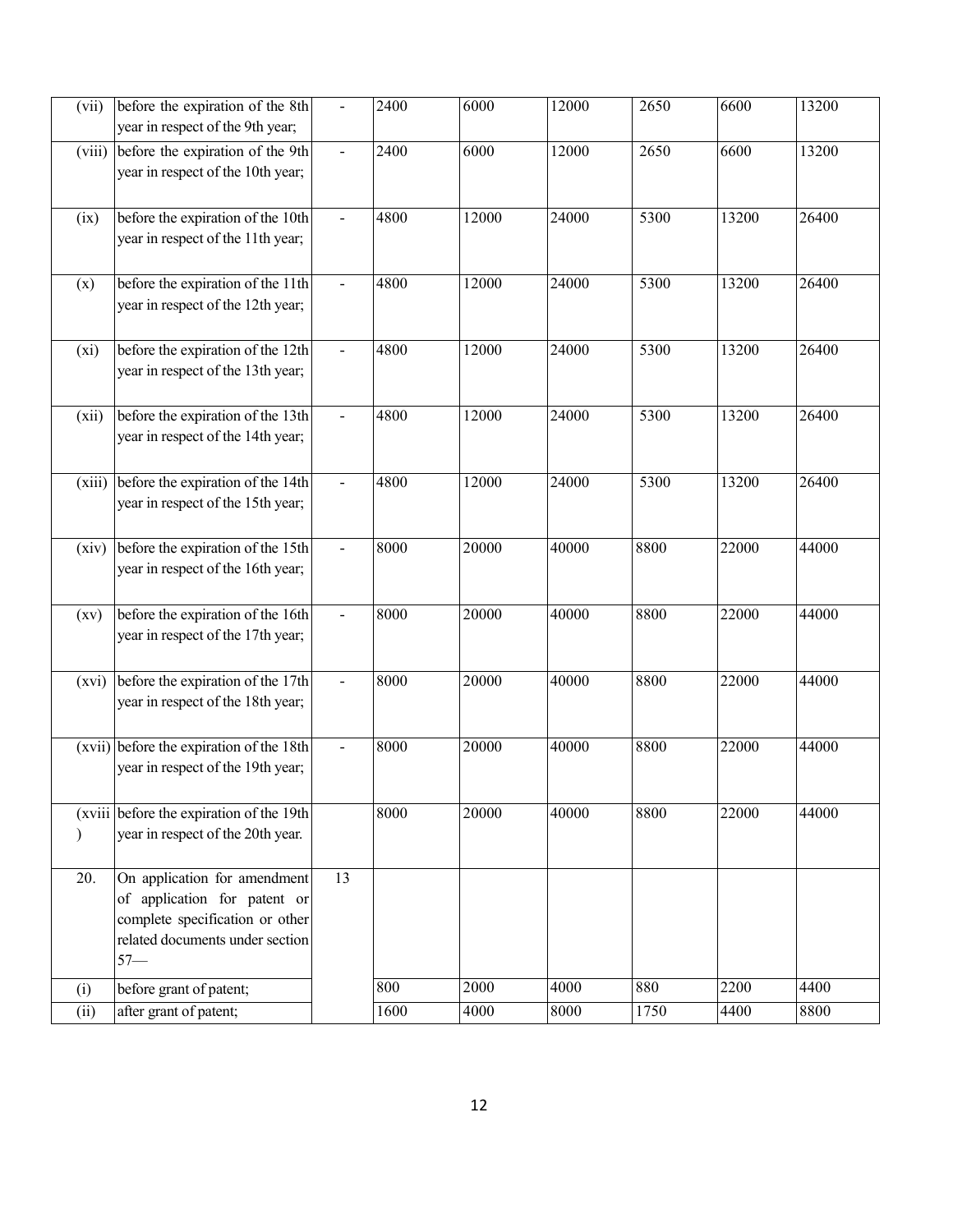| (vii)  | before the expiration of the 8th<br>year in respect of the 9th year;                                                                         | $\bar{\phantom{a}}$      | 2400 | 6000  | 12000 | 2650 | 6600  | 13200 |
|--------|----------------------------------------------------------------------------------------------------------------------------------------------|--------------------------|------|-------|-------|------|-------|-------|
| (viii) | before the expiration of the 9th<br>year in respect of the 10th year;                                                                        | $\Box$                   | 2400 | 6000  | 12000 | 2650 | 6600  | 13200 |
| (ix)   | before the expiration of the 10th<br>year in respect of the 11th year;                                                                       | $\blacksquare$           | 4800 | 12000 | 24000 | 5300 | 13200 | 26400 |
| (x)    | before the expiration of the 11th<br>year in respect of the 12th year;                                                                       | $\equiv$                 | 4800 | 12000 | 24000 | 5300 | 13200 | 26400 |
| (xi)   | before the expiration of the 12th<br>year in respect of the 13th year;                                                                       | $\blacksquare$           | 4800 | 12000 | 24000 | 5300 | 13200 | 26400 |
| (xii)  | before the expiration of the 13th<br>year in respect of the 14th year;                                                                       | $\omega$                 | 4800 | 12000 | 24000 | 5300 | 13200 | 26400 |
| (xiii) | before the expiration of the 14th<br>year in respect of the 15th year;                                                                       | $\Box$                   | 4800 | 12000 | 24000 | 5300 | 13200 | 26400 |
| (xiv)  | before the expiration of the 15th<br>year in respect of the 16th year;                                                                       | $\overline{\phantom{a}}$ | 8000 | 20000 | 40000 | 8800 | 22000 | 44000 |
| (xv)   | before the expiration of the 16th<br>year in respect of the 17th year;                                                                       | $\Box$                   | 8000 | 20000 | 40000 | 8800 | 22000 | 44000 |
| (xvi)  | before the expiration of the 17th<br>year in respect of the 18th year;                                                                       | ÷,                       | 8000 | 20000 | 40000 | 8800 | 22000 | 44000 |
|        | $(xvii)$ before the expiration of the 18th<br>year in respect of the 19th year;                                                              | $\Box$                   | 8000 | 20000 | 40000 | 8800 | 22000 | 44000 |
|        | (xviii before the expiration of the 19th<br>year in respect of the 20th year.                                                                |                          | 8000 | 20000 | 40000 | 8800 | 22000 | 44000 |
| 20.    | On application for amendment<br>of application for patent or<br>complete specification or other<br>related documents under section<br>$57 -$ | 13                       |      |       |       |      |       |       |
| (i)    | before grant of patent;                                                                                                                      |                          | 800  | 2000  | 4000  | 880  | 2200  | 4400  |
| (ii)   | after grant of patent;                                                                                                                       |                          | 1600 | 4000  | 8000  | 1750 | 4400  | 8800  |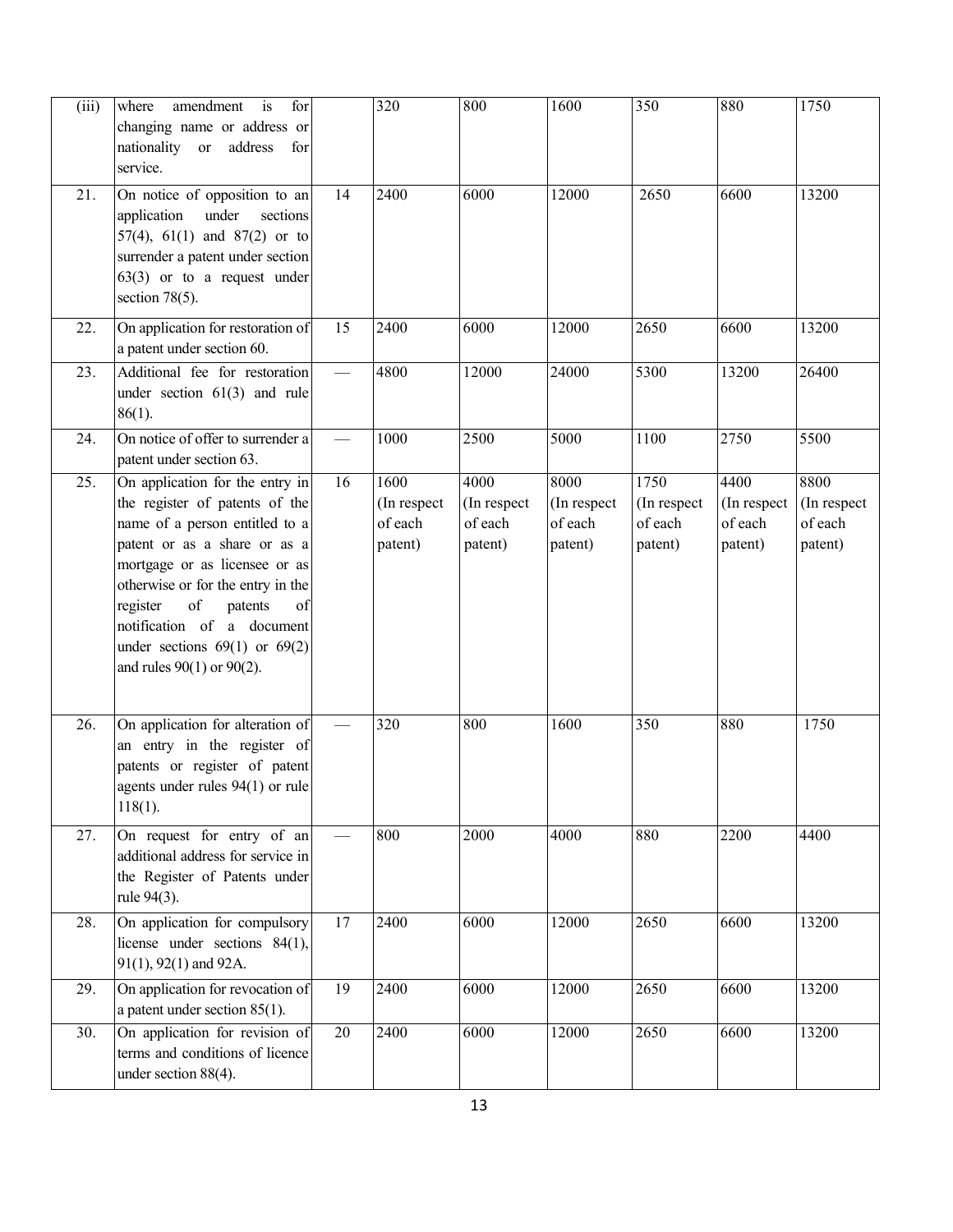| (iii) | for<br>amendment<br>is<br>where<br>changing name or address or<br>nationality or<br>address for<br>service.                                                                                                                                                                                                                                       |                          | 320                                       | 800                                       | 1600                                      | 350                                       | 880                                        | 1750                                       |
|-------|---------------------------------------------------------------------------------------------------------------------------------------------------------------------------------------------------------------------------------------------------------------------------------------------------------------------------------------------------|--------------------------|-------------------------------------------|-------------------------------------------|-------------------------------------------|-------------------------------------------|--------------------------------------------|--------------------------------------------|
| 21.   | On notice of opposition to an<br>under<br>application<br>sections<br>$57(4)$ , $61(1)$ and $87(2)$ or to<br>surrender a patent under section<br>$63(3)$ or to a request under<br>section $78(5)$ .                                                                                                                                                | 14                       | 2400                                      | 6000                                      | 12000                                     | 2650                                      | 6600                                       | 13200                                      |
| 22.   | On application for restoration of<br>a patent under section 60.                                                                                                                                                                                                                                                                                   | 15                       | 2400                                      | 6000                                      | 12000                                     | 2650                                      | 6600                                       | 13200                                      |
| 23.   | Additional fee for restoration<br>under section $61(3)$ and rule<br>$86(1)$ .                                                                                                                                                                                                                                                                     | $\overline{\phantom{0}}$ | 4800                                      | 12000                                     | 24000                                     | 5300                                      | 13200                                      | 26400                                      |
| 24.   | On notice of offer to surrender a<br>patent under section 63.                                                                                                                                                                                                                                                                                     |                          | 1000                                      | 2500                                      | 5000                                      | 1100                                      | 2750                                       | 5500                                       |
| 25.   | On application for the entry in<br>the register of patents of the<br>name of a person entitled to a<br>patent or as a share or as a<br>mortgage or as licensee or as<br>otherwise or for the entry in the<br>of<br>register<br>patents<br>of<br>notification of a document<br>under sections $69(1)$ or $69(2)$<br>and rules $90(1)$ or $90(2)$ . | 16                       | 1600<br>(In respect<br>of each<br>patent) | 4000<br>(In respect<br>of each<br>patent) | 8000<br>(In respect<br>of each<br>patent) | 1750<br>(In respect<br>of each<br>patent) | 4400<br>(In respect)<br>of each<br>patent) | 8800<br>(In respect)<br>of each<br>patent) |
| 26.   | On application for alteration of<br>an entry in the register of<br>patents or register of patent<br>agents under rules 94(1) or rule<br>$118(1)$ .                                                                                                                                                                                                | $\overline{\phantom{m}}$ | 320                                       | 800                                       | 1600                                      | 350                                       | 880                                        | 1750                                       |
| 27.   | On request for entry of an<br>additional address for service in<br>the Register of Patents under<br>rule 94(3).                                                                                                                                                                                                                                   |                          | 800                                       | 2000                                      | 4000                                      | 880                                       | 2200                                       | 4400                                       |
| 28.   | On application for compulsory<br>license under sections $84(1)$ ,<br>91(1), 92(1) and 92A.                                                                                                                                                                                                                                                        | 17                       | 2400                                      | 6000                                      | 12000                                     | 2650                                      | 6600                                       | 13200                                      |
| 29.   | On application for revocation of<br>a patent under section 85(1).                                                                                                                                                                                                                                                                                 | 19                       | 2400                                      | 6000                                      | 12000                                     | 2650                                      | 6600                                       | 13200                                      |
| 30.   | On application for revision of<br>terms and conditions of licence<br>under section 88(4).                                                                                                                                                                                                                                                         | 20                       | 2400                                      | 6000                                      | 12000                                     | 2650                                      | 6600                                       | 13200                                      |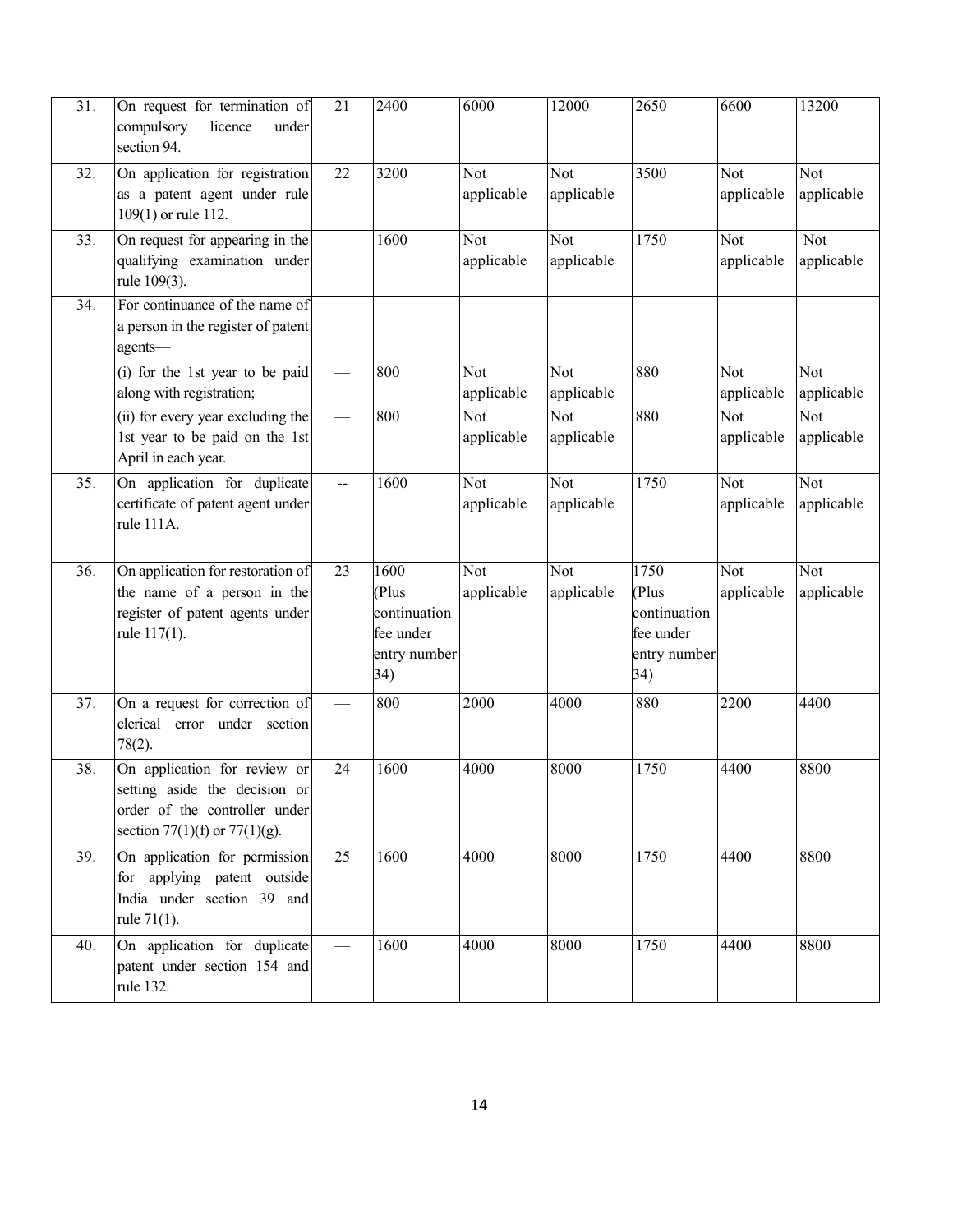| 31. | On request for termination of<br>compulsory<br>licence<br>under<br>section 94.                                                  | 21                | 2400                                                              | 6000                     | 12000             | 2650                                                              | 6600              | 13200                    |
|-----|---------------------------------------------------------------------------------------------------------------------------------|-------------------|-------------------------------------------------------------------|--------------------------|-------------------|-------------------------------------------------------------------|-------------------|--------------------------|
| 32. | On application for registration<br>as a patent agent under rule<br>109(1) or rule 112.                                          | 22                | 3200                                                              | Not<br>applicable        | Not<br>applicable | 3500                                                              | Not<br>applicable | <b>Not</b><br>applicable |
| 33. | On request for appearing in the<br>qualifying examination under<br>rule 109(3).                                                 |                   | 1600                                                              | <b>Not</b><br>applicable | Not<br>applicable | 1750                                                              | Not<br>applicable | <b>Not</b><br>applicable |
| 34. | For continuance of the name of<br>a person in the register of patent<br>agents-                                                 |                   |                                                                   |                          |                   |                                                                   |                   |                          |
|     | (i) for the 1st year to be paid<br>along with registration;                                                                     |                   | 800                                                               | <b>Not</b><br>applicable | Not<br>applicable | 880                                                               | Not<br>applicable | <b>Not</b><br>applicable |
|     | (ii) for every year excluding the<br>1st year to be paid on the 1st<br>April in each year.                                      | $\frac{1}{1}$     | 800                                                               | Not<br>applicable        | Not<br>applicable | 880                                                               | Not<br>applicable | Not<br>applicable        |
| 35. | On application for duplicate<br>certificate of patent agent under<br>rule 111A.                                                 | $\omega$ $\omega$ | 1600                                                              | <b>Not</b><br>applicable | Not<br>applicable | 1750                                                              | Not<br>applicable | Not<br>applicable        |
| 36. | On application for restoration of<br>the name of a person in the<br>register of patent agents under<br>rule 117(1).             | 23                | 1600<br>(Plus<br>continuation<br>fee under<br>entry number<br>34) | <b>Not</b><br>applicable | Not<br>applicable | 1750<br>(Plus<br>continuation<br>fee under<br>entry number<br>34) | Not<br>applicable | Not<br>applicable        |
| 37. | On a request for correction of<br>clerical error under section<br>$78(2)$ .                                                     |                   | 800                                                               | 2000                     | 4000              | 880                                                               | 2200              | 4400                     |
| 38. | On application for review or<br>setting aside the decision or<br>order of the controller under<br>section 77(1)(f) or 77(1)(g). | 24                | 1600                                                              | 4000                     | 8000              | 1750                                                              | 4400              | 8800                     |
| 39. | On application for permission<br>for applying patent outside<br>India under section 39 and<br>rule 71(1).                       | 25                | 1600                                                              | 4000                     | 8000              | 1750                                                              | 4400              | 8800                     |
| 40. | On application for duplicate<br>patent under section 154 and<br>rule 132.                                                       |                   | 1600                                                              | 4000                     | 8000              | 1750                                                              | 4400              | 8800                     |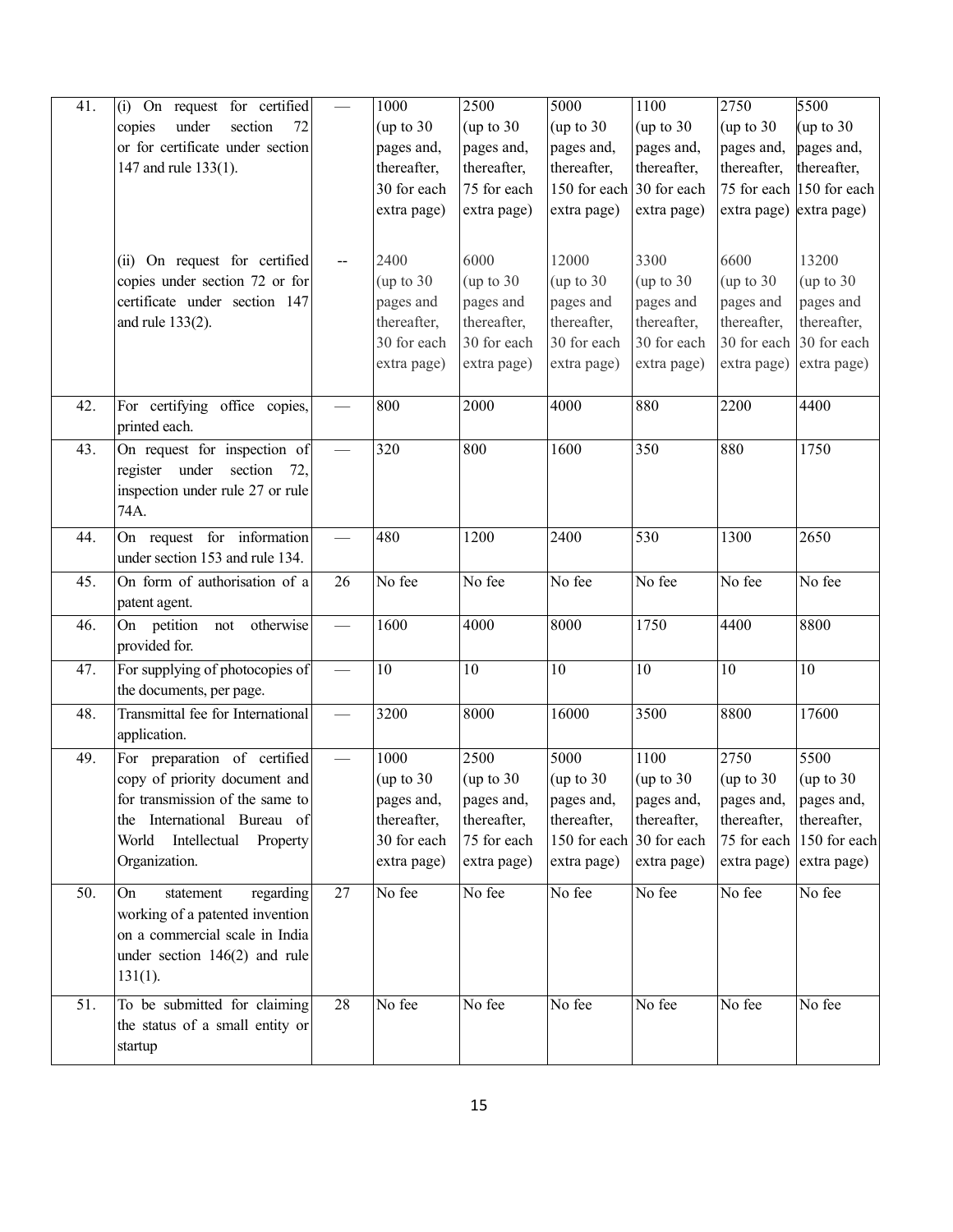| 41. | (i) On request for certified                   |                          | 1000        | 2500        | $\overline{5000}$ | 1100        | 2750                    | 5500                     |
|-----|------------------------------------------------|--------------------------|-------------|-------------|-------------------|-------------|-------------------------|--------------------------|
|     | copies<br>under<br>section<br>72               |                          | (up to $30$ | (up to $30$ | (up to $30$       | (up to $30$ | (up to $30$             | (up to $30$              |
|     | or for certificate under section               |                          | pages and,  | pages and,  | pages and,        | pages and,  | pages and,              | pages and,               |
|     | 147 and rule 133(1).                           |                          | thereafter, | thereafter, | thereafter,       | thereafter, | thereafter,             | thereafter,              |
|     |                                                |                          | 30 for each | 75 for each | 150 for each      | 30 for each |                         | 75 for each 150 for each |
|     |                                                |                          | extra page) | extra page) | extra page)       | extra page) | extra page) extra page) |                          |
|     |                                                |                          |             |             |                   |             |                         |                          |
|     |                                                |                          |             |             |                   |             |                         |                          |
|     | (ii) On request for certified                  | $\overline{\phantom{m}}$ | 2400        | 6000        | 12000             | 3300        | 6600                    | 13200                    |
|     | copies under section 72 or for                 |                          | (up to $30$ | (up to $30$ | (up to $30$       | (up to $30$ | (up to $30$             | (up to $30$              |
|     | certificate under section 147                  |                          | pages and   | pages and   | pages and         | pages and   | pages and               | pages and                |
|     | and rule $133(2)$ .                            |                          | thereafter, | thereafter, | thereafter,       | thereafter, | thereafter,             | thereafter,              |
|     |                                                |                          | 30 for each | 30 for each | 30 for each       | 30 for each | 30 for each 30 for each |                          |
|     |                                                |                          | extra page) | extra page) | extra page)       | extra page) | extra page)             | extra page)              |
| 42. |                                                |                          | 800         | 2000        | 4000              | 880         | 2200                    | 4400                     |
|     | For certifying office copies,<br>printed each. |                          |             |             |                   |             |                         |                          |
| 43. | On request for inspection of                   |                          | 320         | 800         | 1600              | 350         | 880                     | 1750                     |
|     | register under<br>section<br>72,               |                          |             |             |                   |             |                         |                          |
|     | inspection under rule 27 or rule               |                          |             |             |                   |             |                         |                          |
|     | 74A.                                           |                          |             |             |                   |             |                         |                          |
|     |                                                |                          |             |             |                   |             |                         |                          |
| 44. | On request for information                     |                          | 480         | 1200        | 2400              | 530         | 1300                    | 2650                     |
|     | under section 153 and rule 134.                |                          |             |             |                   |             |                         |                          |
| 45. | On form of authorisation of a                  | 26                       | No fee      | No fee      | No fee            | No fee      | No fee                  | No fee                   |
|     | patent agent.                                  |                          |             |             |                   |             |                         |                          |
| 46. | otherwise<br>On petition<br>not                | $\overline{\phantom{0}}$ | 1600        | 4000        | 8000              | 1750        | 4400                    | 8800                     |
|     | provided for.                                  |                          |             |             |                   |             |                         |                          |
| 47. | For supplying of photocopies of                | $\overline{\phantom{0}}$ | 10          | 10          | $\overline{10}$   | 10          | $\overline{10}$         | 10                       |
|     | the documents, per page.                       |                          |             |             |                   |             |                         |                          |
| 48. | Transmittal fee for International              |                          | 3200        | 8000        | 16000             | 3500        | 8800                    | 17600                    |
|     | application.                                   |                          |             |             |                   |             |                         |                          |
| 49. | For preparation of certified                   |                          | 1000        | 2500        | 5000              | 1100        | 2750                    | 5500                     |
|     | copy of priority document and                  |                          | (up to $30$ | (up to $30$ | (up to $30$       | (up to $30$ | (up to $30$             | (up to $30$              |
|     | for transmission of the same to                |                          | pages and,  | pages and,  | pages and,        | pages and,  | pages and,              | pages and,               |
|     | the International Bureau of                    |                          | thereafter, | thereafter, | thereafter,       | thereafter, | thereafter,             | thereafter,              |
|     | World Intellectual<br>Property                 |                          | 30 for each | 75 for each | 150 for each      | 30 for each | 75 for each             | 150 for each             |
|     | Organization.                                  |                          | extra page) | extra page) | extra page)       | extra page) | extra page)             | extra page)              |
|     |                                                |                          |             |             |                   |             |                         |                          |
| 50. | On<br>statement<br>regarding                   | 27                       | No fee      | No fee      | No fee            | No fee      | No fee                  | No fee                   |
|     | working of a patented invention                |                          |             |             |                   |             |                         |                          |
|     | on a commercial scale in India                 |                          |             |             |                   |             |                         |                          |
|     | under section $146(2)$ and rule                |                          |             |             |                   |             |                         |                          |
|     |                                                |                          |             |             |                   |             |                         |                          |
|     | $131(1)$ .                                     |                          |             |             |                   |             |                         |                          |
| 51. | To be submitted for claiming                   | 28                       | No fee      | No fee      | No fee            | No fee      | No fee                  | No fee                   |
|     | the status of a small entity or                |                          |             |             |                   |             |                         |                          |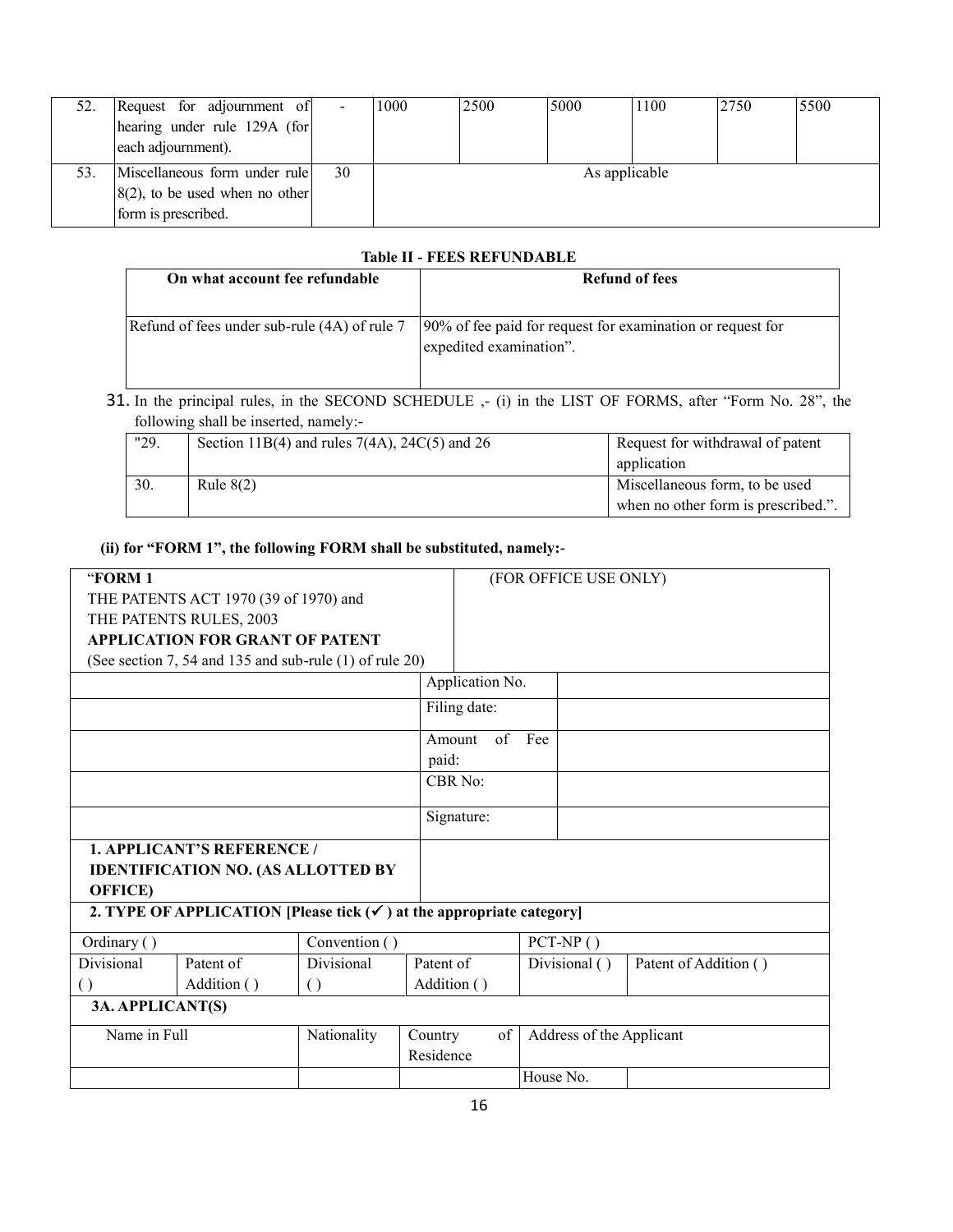| 52. | Request for adjournment of        | $\overline{\phantom{a}}$ | 1000 | 2500 | 5000          | 1100 | 2750 | 5500 |
|-----|-----------------------------------|--------------------------|------|------|---------------|------|------|------|
|     | hearing under rule 129A (for      |                          |      |      |               |      |      |      |
|     | each adjournment).                |                          |      |      |               |      |      |      |
| 53. | Miscellaneous form under rule     | 30                       |      |      | As applicable |      |      |      |
|     | $8(2)$ , to be used when no other |                          |      |      |               |      |      |      |
|     | form is prescribed.               |                          |      |      |               |      |      |      |

#### **Table II - FEES REFUNDABLE**

| On what account fee refundable               | Refund of fees                                              |
|----------------------------------------------|-------------------------------------------------------------|
|                                              |                                                             |
| Refund of fees under sub-rule (4A) of rule 7 | 190% of fee paid for request for examination or request for |
|                                              | expedited examination".                                     |
|                                              |                                                             |

31. In the principal rules, in the SECOND SCHEDULE ,- (i) in the LIST OF FORMS, after "Form No. 28", the following shall be inserted, namely:-

| "29. | Section 11B(4) and rules $7(4A)$ , $24C(5)$ and $26$ | Request for withdrawal of patent    |
|------|------------------------------------------------------|-------------------------------------|
|      |                                                      | application                         |
| 30.  | Rule $8(2)$                                          | Miscellaneous form, to be used      |
|      |                                                      | when no other form is prescribed.". |

### **(ii) for "FORM 1", the following FORM shall be substituted, namely:-**

| "FORM 1                                                 |                                                                                 |                  |             |                 | (FOR OFFICE USE ONLY) |                          |                       |
|---------------------------------------------------------|---------------------------------------------------------------------------------|------------------|-------------|-----------------|-----------------------|--------------------------|-----------------------|
|                                                         | THE PATENTS ACT 1970 (39 of 1970) and                                           |                  |             |                 |                       |                          |                       |
|                                                         | THE PATENTS RULES, 2003                                                         |                  |             |                 |                       |                          |                       |
|                                                         | <b>APPLICATION FOR GRANT OF PATENT</b>                                          |                  |             |                 |                       |                          |                       |
| (See section 7, 54 and 135 and sub-rule (1) of rule 20) |                                                                                 |                  |             |                 |                       |                          |                       |
|                                                         |                                                                                 |                  |             | Application No. |                       |                          |                       |
|                                                         |                                                                                 |                  |             | Filing date:    |                       |                          |                       |
|                                                         |                                                                                 |                  | Amount      | of              | Fee                   |                          |                       |
|                                                         |                                                                                 |                  | paid:       |                 |                       |                          |                       |
|                                                         |                                                                                 |                  |             | CBR No:         |                       |                          |                       |
|                                                         |                                                                                 |                  |             | Signature:      |                       |                          |                       |
|                                                         | <b>1. APPLICANT'S REFERENCE /</b>                                               |                  |             |                 |                       |                          |                       |
|                                                         | <b>IDENTIFICATION NO. (AS ALLOTTED BY</b>                                       |                  |             |                 |                       |                          |                       |
| <b>OFFICE</b> )                                         |                                                                                 |                  |             |                 |                       |                          |                       |
|                                                         | 2. TYPE OF APPLICATION [Please tick $(\checkmark)$ at the appropriate category] |                  |             |                 |                       |                          |                       |
| Ordinary ()                                             |                                                                                 | Convention ()    |             |                 |                       | $PCT-NP()$               |                       |
| Divisional                                              | Patent of                                                                       | Divisional       | Patent of   |                 |                       | Divisional ()            | Patent of Addition () |
| $\left( \right)$                                        | Addition ()                                                                     | $\left( \right)$ | Addition () |                 |                       |                          |                       |
| 3A. APPLICANT(S)                                        |                                                                                 |                  |             |                 |                       |                          |                       |
| Name in Full                                            |                                                                                 | Nationality      | Country     | of              |                       | Address of the Applicant |                       |
|                                                         |                                                                                 |                  | Residence   |                 |                       |                          |                       |
|                                                         |                                                                                 |                  |             |                 | House No.             |                          |                       |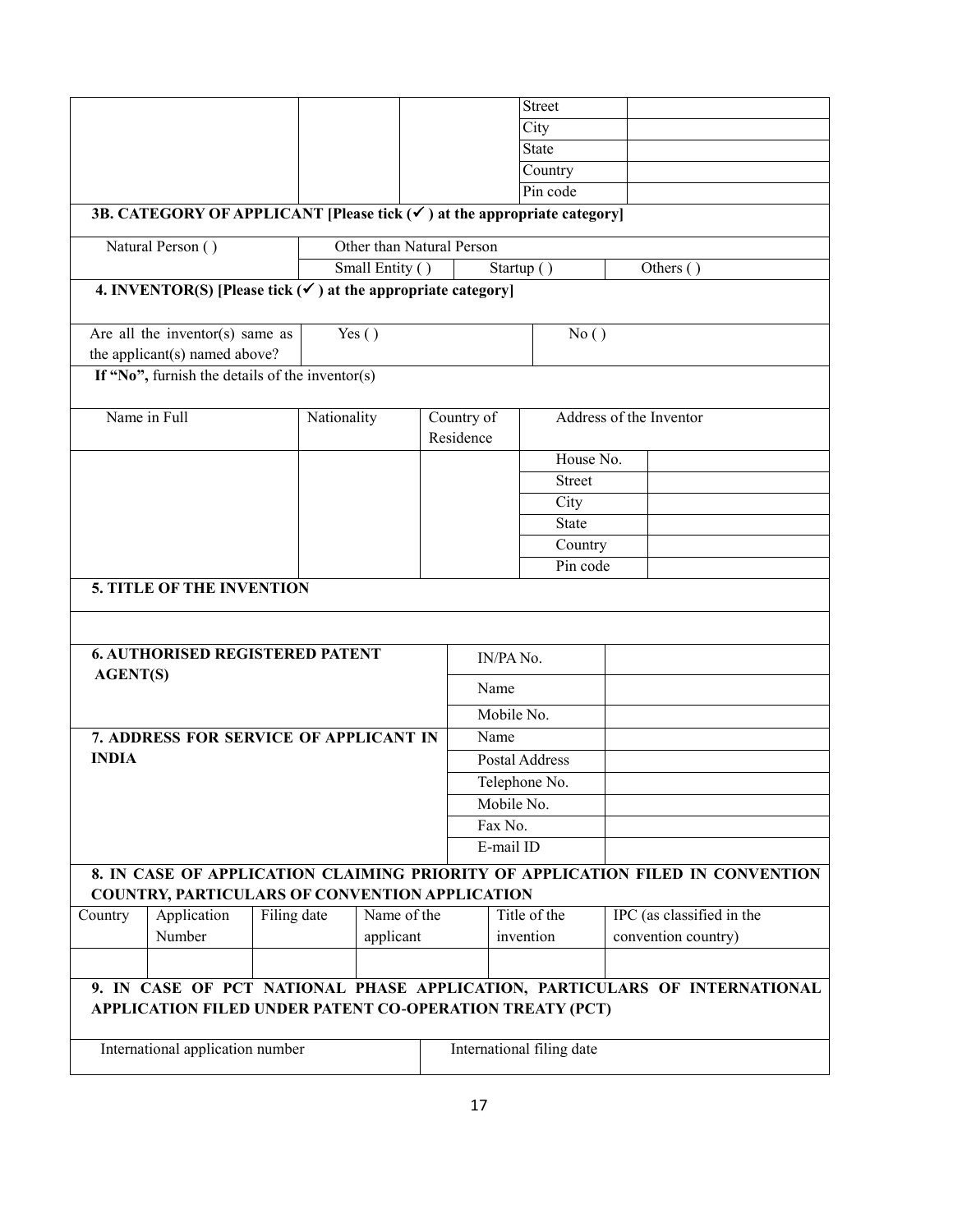|                 |                                                                         |             |                           |            |            | <b>Street</b>             |  |                                                                                |
|-----------------|-------------------------------------------------------------------------|-------------|---------------------------|------------|------------|---------------------------|--|--------------------------------------------------------------------------------|
|                 |                                                                         |             |                           |            |            |                           |  |                                                                                |
|                 |                                                                         |             |                           |            |            | City                      |  |                                                                                |
|                 |                                                                         |             |                           |            |            | <b>State</b>              |  |                                                                                |
|                 |                                                                         |             |                           |            |            | Country                   |  |                                                                                |
|                 |                                                                         |             |                           |            |            | Pin code                  |  |                                                                                |
|                 | 3B. CATEGORY OF APPLICANT [Please tick (√) at the appropriate category] |             |                           |            |            |                           |  |                                                                                |
|                 | Natural Person ()                                                       |             | Other than Natural Person |            |            |                           |  |                                                                                |
|                 |                                                                         |             | Small Entity ()           |            | Startup () |                           |  | Others ()                                                                      |
|                 | 4. INVENTOR(S) [Please tick $(\checkmark)$ at the appropriate category] |             |                           |            |            |                           |  |                                                                                |
|                 | Are all the inventor(s) same as                                         |             | Yes $( )$                 |            |            | No()                      |  |                                                                                |
|                 | the applicant(s) named above?                                           |             |                           |            |            |                           |  |                                                                                |
|                 | If "No", furnish the details of the inventor(s)                         |             |                           |            |            |                           |  |                                                                                |
|                 |                                                                         |             |                           |            |            |                           |  |                                                                                |
|                 | Name in Full                                                            | Nationality |                           | Country of |            |                           |  | Address of the Inventor                                                        |
|                 |                                                                         |             |                           | Residence  |            |                           |  |                                                                                |
|                 |                                                                         |             |                           |            |            | House No.                 |  |                                                                                |
|                 |                                                                         |             |                           |            |            | <b>Street</b>             |  |                                                                                |
|                 |                                                                         |             |                           |            |            | City                      |  |                                                                                |
|                 |                                                                         |             |                           |            |            | <b>State</b>              |  |                                                                                |
|                 |                                                                         |             |                           |            |            | Country                   |  |                                                                                |
|                 |                                                                         |             |                           |            |            | Pin code                  |  |                                                                                |
|                 | <b>5. TITLE OF THE INVENTION</b>                                        |             |                           |            |            |                           |  |                                                                                |
|                 |                                                                         |             |                           |            |            |                           |  |                                                                                |
|                 |                                                                         |             |                           |            |            |                           |  |                                                                                |
|                 | <b>6. AUTHORISED REGISTERED PATENT</b>                                  |             |                           |            |            |                           |  |                                                                                |
| <b>AGENT(S)</b> |                                                                         |             |                           |            | IN/PA No.  |                           |  |                                                                                |
|                 |                                                                         |             |                           |            | Name       |                           |  |                                                                                |
|                 |                                                                         |             |                           |            | Mobile No. |                           |  |                                                                                |
|                 | <b>7. ADDRESS FOR SERVICE OF APPLICANT IN</b>                           |             |                           |            | Name       |                           |  |                                                                                |
| <b>INDIA</b>    |                                                                         |             |                           |            |            | <b>Postal Address</b>     |  |                                                                                |
|                 |                                                                         |             |                           |            |            |                           |  |                                                                                |
|                 |                                                                         |             |                           |            |            | Telephone No.             |  |                                                                                |
|                 |                                                                         |             |                           |            | Mobile No. |                           |  |                                                                                |
|                 |                                                                         |             |                           |            | Fax No.    |                           |  |                                                                                |
|                 |                                                                         |             |                           |            | E-mail ID  |                           |  |                                                                                |
|                 |                                                                         |             |                           |            |            |                           |  | 8. IN CASE OF APPLICATION CLAIMING PRIORITY OF APPLICATION FILED IN CONVENTION |
|                 | <b>COUNTRY, PARTICULARS OF CONVENTION APPLICATION</b>                   |             |                           |            |            |                           |  |                                                                                |
| Country         | Application                                                             | Filing date | Name of the               |            |            | Title of the              |  | IPC (as classified in the                                                      |
|                 | Number                                                                  |             | applicant                 |            | invention  |                           |  | convention country)                                                            |
|                 |                                                                         |             |                           |            |            |                           |  |                                                                                |
|                 |                                                                         |             |                           |            |            |                           |  |                                                                                |
|                 |                                                                         |             |                           |            |            |                           |  | 9. IN CASE OF PCT NATIONAL PHASE APPLICATION, PARTICULARS OF INTERNATIONAL     |
|                 | APPLICATION FILED UNDER PATENT CO-OPERATION TREATY (PCT)                |             |                           |            |            |                           |  |                                                                                |
|                 |                                                                         |             |                           |            |            |                           |  |                                                                                |
|                 | International application number                                        |             |                           |            |            | International filing date |  |                                                                                |
|                 |                                                                         |             |                           |            |            |                           |  |                                                                                |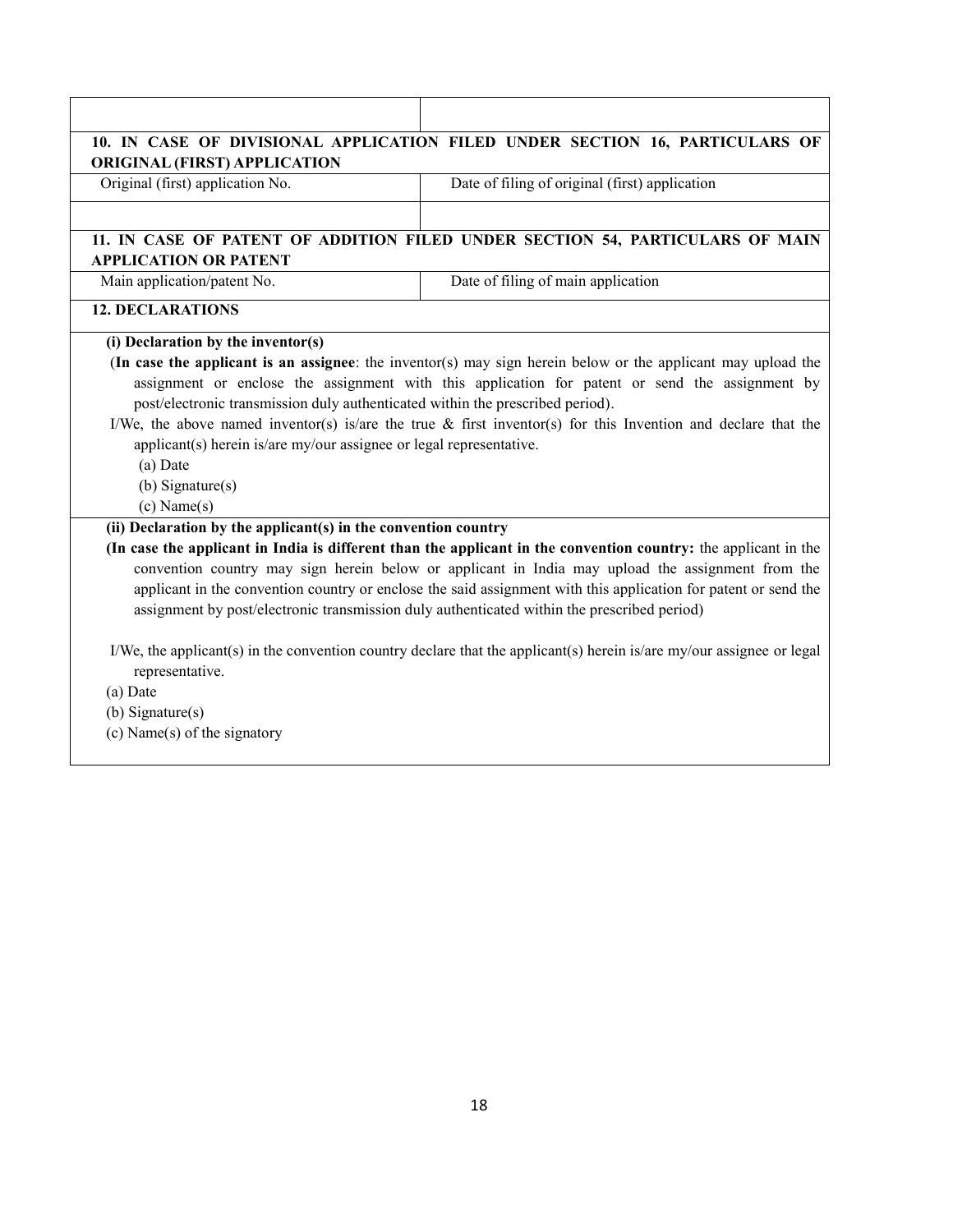|                                                                                                                         | 10. IN CASE OF DIVISIONAL APPLICATION FILED UNDER SECTION 16, PARTICULARS OF                                                                                                                                                                                                                                                                                                                                       |
|-------------------------------------------------------------------------------------------------------------------------|--------------------------------------------------------------------------------------------------------------------------------------------------------------------------------------------------------------------------------------------------------------------------------------------------------------------------------------------------------------------------------------------------------------------|
| ORIGINAL (FIRST) APPLICATION                                                                                            |                                                                                                                                                                                                                                                                                                                                                                                                                    |
| Original (first) application No.                                                                                        | Date of filing of original (first) application                                                                                                                                                                                                                                                                                                                                                                     |
|                                                                                                                         | 11. IN CASE OF PATENT OF ADDITION FILED UNDER SECTION 54, PARTICULARS OF MAIN                                                                                                                                                                                                                                                                                                                                      |
| <b>APPLICATION OR PATENT</b>                                                                                            |                                                                                                                                                                                                                                                                                                                                                                                                                    |
| Main application/patent No.                                                                                             | Date of filing of main application                                                                                                                                                                                                                                                                                                                                                                                 |
| <b>12. DECLARATIONS</b>                                                                                                 |                                                                                                                                                                                                                                                                                                                                                                                                                    |
| (i) Declaration by the inventor(s)                                                                                      |                                                                                                                                                                                                                                                                                                                                                                                                                    |
| applicant(s) herein is/are my/our assignee or legal representative.<br>(a) Date<br>(b) Signature(s)<br>$(c)$ Name $(s)$ | (In case the applicant is an assignee: the inventor(s) may sign herein below or the applicant may upload the<br>assignment or enclose the assignment with this application for patent or send the assignment by<br>post/electronic transmission duly authenticated within the prescribed period).<br>I/We, the above named inventor(s) is/are the true & first inventor(s) for this Invention and declare that the |
| (ii) Declaration by the applicant(s) in the convention country                                                          | (In case the applicant in India is different than the applicant in the convention country: the applicant in the                                                                                                                                                                                                                                                                                                    |
|                                                                                                                         | convention country may sign herein below or applicant in India may upload the assignment from the<br>applicant in the convention country or enclose the said assignment with this application for patent or send the<br>assignment by post/electronic transmission duly authenticated within the prescribed period)                                                                                                |
| representative.                                                                                                         | I/We, the applicant(s) in the convention country declare that the applicant(s) herein is/are my/our assignee or legal                                                                                                                                                                                                                                                                                              |
| (a) Date                                                                                                                |                                                                                                                                                                                                                                                                                                                                                                                                                    |
| $(b)$ Signature $(s)$                                                                                                   |                                                                                                                                                                                                                                                                                                                                                                                                                    |
| $(c)$ Name $(s)$ of the signatory                                                                                       |                                                                                                                                                                                                                                                                                                                                                                                                                    |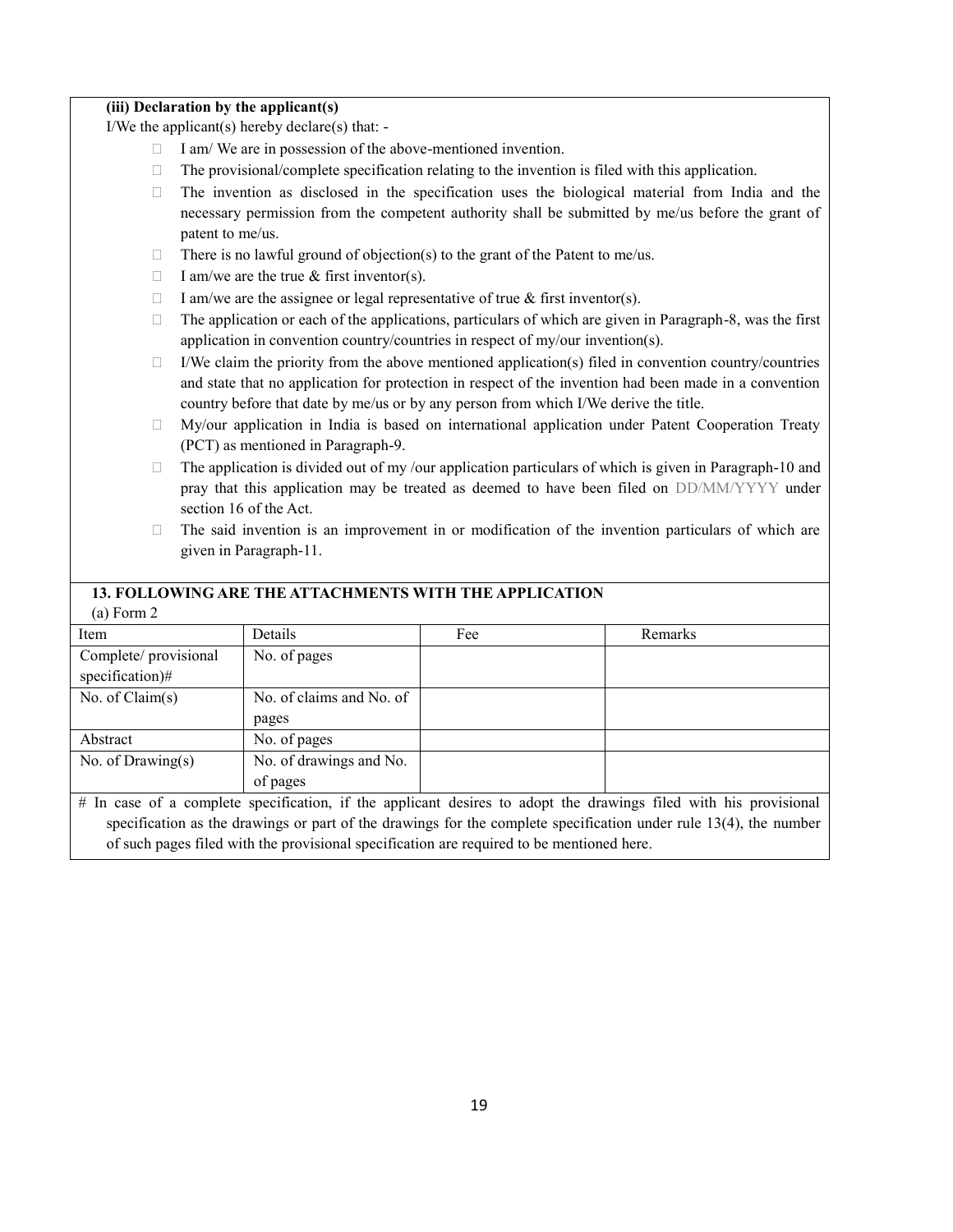|                                                                                            |                                                                                                                                                                                                                          | (iii) Declaration by the applicant(s)                                                |     |                                                                                                                   |  |
|--------------------------------------------------------------------------------------------|--------------------------------------------------------------------------------------------------------------------------------------------------------------------------------------------------------------------------|--------------------------------------------------------------------------------------|-----|-------------------------------------------------------------------------------------------------------------------|--|
|                                                                                            |                                                                                                                                                                                                                          | I/We the applicant(s) hereby declare(s) that: -                                      |     |                                                                                                                   |  |
| П.                                                                                         | I am/We are in possession of the above-mentioned invention.                                                                                                                                                              |                                                                                      |     |                                                                                                                   |  |
| П                                                                                          | The provisional/complete specification relating to the invention is filed with this application.                                                                                                                         |                                                                                      |     |                                                                                                                   |  |
| □                                                                                          | The invention as disclosed in the specification uses the biological material from India and the<br>necessary permission from the competent authority shall be submitted by me/us before the grant of<br>patent to me/us. |                                                                                      |     |                                                                                                                   |  |
| 0                                                                                          |                                                                                                                                                                                                                          | There is no lawful ground of objection(s) to the grant of the Patent to me/us.       |     |                                                                                                                   |  |
| □                                                                                          |                                                                                                                                                                                                                          | I am/we are the true $\&$ first inventor(s).                                         |     |                                                                                                                   |  |
| □                                                                                          |                                                                                                                                                                                                                          | I am/we are the assignee or legal representative of true $\&$ first inventor(s).     |     |                                                                                                                   |  |
| □                                                                                          |                                                                                                                                                                                                                          | application in convention country/countries in respect of my/our invention(s).       |     | The application or each of the applications, particulars of which are given in Paragraph-8, was the first         |  |
| Ш                                                                                          |                                                                                                                                                                                                                          |                                                                                      |     | I/We claim the priority from the above mentioned application(s) filed in convention country/countries             |  |
|                                                                                            |                                                                                                                                                                                                                          | country before that date by me/us or by any person from which I/We derive the title. |     | and state that no application for protection in respect of the invention had been made in a convention            |  |
| □                                                                                          |                                                                                                                                                                                                                          |                                                                                      |     |                                                                                                                   |  |
|                                                                                            | My/our application in India is based on international application under Patent Cooperation Treaty<br>(PCT) as mentioned in Paragraph-9.                                                                                  |                                                                                      |     |                                                                                                                   |  |
| 0                                                                                          |                                                                                                                                                                                                                          |                                                                                      |     | The application is divided out of my /our application particulars of which is given in Paragraph-10 and           |  |
| pray that this application may be treated as deemed to have been filed on DD/MM/YYYY under |                                                                                                                                                                                                                          |                                                                                      |     |                                                                                                                   |  |
|                                                                                            |                                                                                                                                                                                                                          | section 16 of the Act.                                                               |     |                                                                                                                   |  |
| □                                                                                          |                                                                                                                                                                                                                          |                                                                                      |     | The said invention is an improvement in or modification of the invention particulars of which are                 |  |
|                                                                                            |                                                                                                                                                                                                                          | given in Paragraph-11.                                                               |     |                                                                                                                   |  |
|                                                                                            |                                                                                                                                                                                                                          |                                                                                      |     |                                                                                                                   |  |
| $(a)$ Form $2$                                                                             | 13. FOLLOWING ARE THE ATTACHMENTS WITH THE APPLICATION                                                                                                                                                                   |                                                                                      |     |                                                                                                                   |  |
| Item                                                                                       |                                                                                                                                                                                                                          | Details                                                                              | Fee | Remarks                                                                                                           |  |
| Complete/ provisional                                                                      |                                                                                                                                                                                                                          | No. of pages                                                                         |     |                                                                                                                   |  |
| specification)#                                                                            |                                                                                                                                                                                                                          |                                                                                      |     |                                                                                                                   |  |
| No. of claims and No. of<br>No. of $Claim(s)$                                              |                                                                                                                                                                                                                          |                                                                                      |     |                                                                                                                   |  |
|                                                                                            |                                                                                                                                                                                                                          | pages                                                                                |     |                                                                                                                   |  |
| Abstract                                                                                   |                                                                                                                                                                                                                          | No. of pages                                                                         |     |                                                                                                                   |  |
| No. of drawings and No.<br>No. of Drawing(s)                                               |                                                                                                                                                                                                                          |                                                                                      |     |                                                                                                                   |  |
| of pages                                                                                   |                                                                                                                                                                                                                          |                                                                                      |     |                                                                                                                   |  |
|                                                                                            | # In case of a complete specification, if the applicant desires to adopt the drawings filed with his provisional                                                                                                         |                                                                                      |     |                                                                                                                   |  |
|                                                                                            |                                                                                                                                                                                                                          |                                                                                      |     | specification as the drawings or part of the drawings for the complete specification under rule 13(4), the number |  |
|                                                                                            | of such pages filed with the provisional specification are required to be mentioned here.                                                                                                                                |                                                                                      |     |                                                                                                                   |  |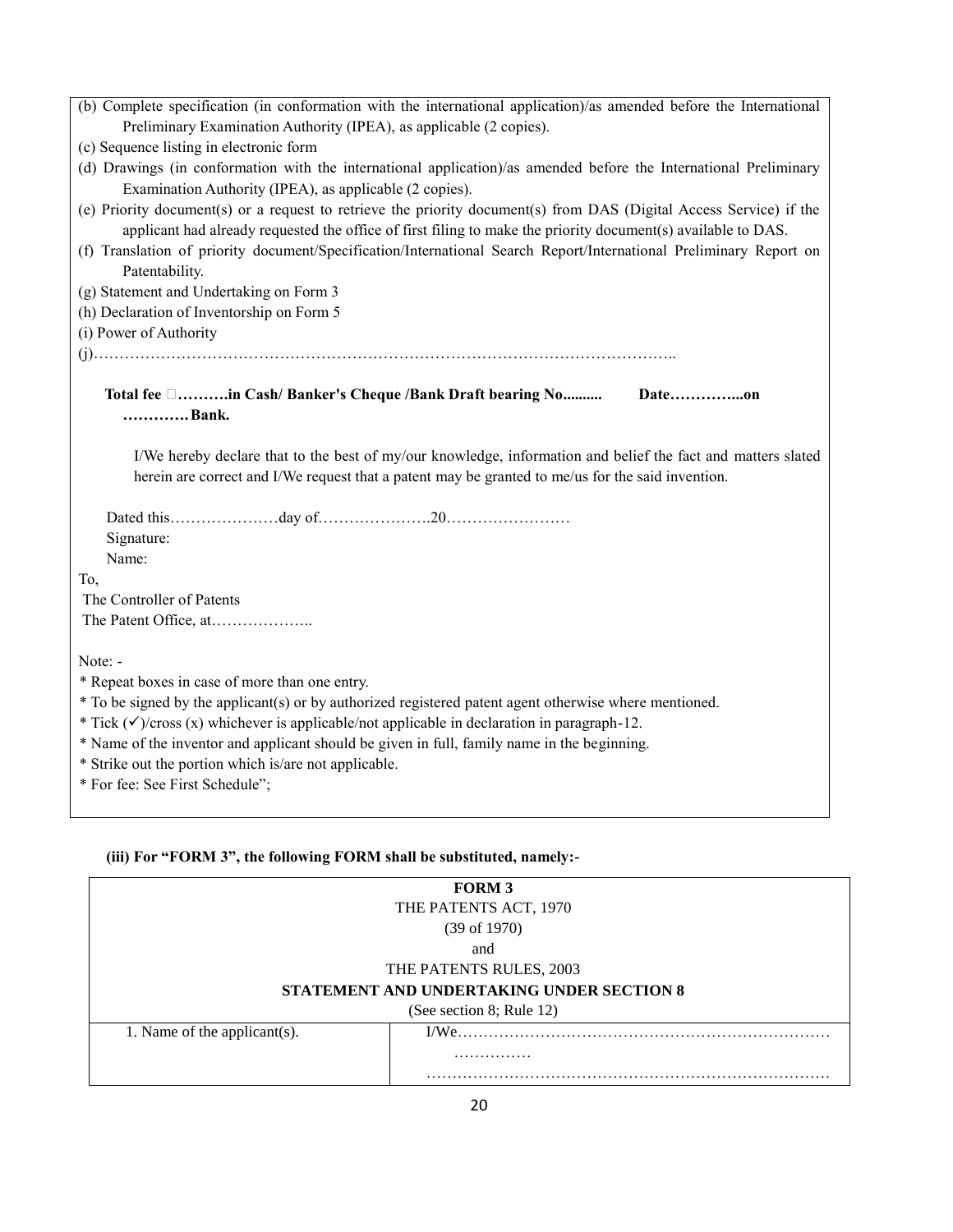| (b) Complete specification (in conformation with the international application)/as amended before the International |  |  |
|---------------------------------------------------------------------------------------------------------------------|--|--|
| Preliminary Examination Authority (IPEA), as applicable (2 copies).                                                 |  |  |
| (c) Sequence listing in electronic form                                                                             |  |  |
| (d) Drawings (in conformation with the international application)/as amended before the International Preliminary   |  |  |
| Examination Authority (IPEA), as applicable (2 copies).                                                             |  |  |
| (e) Priority document(s) or a request to retrieve the priority document(s) from DAS (Digital Access Service) if the |  |  |
| applicant had already requested the office of first filing to make the priority document(s) available to DAS.       |  |  |
| (f) Translation of priority document/Specification/International Search Report/International Preliminary Report on  |  |  |
| Patentability.                                                                                                      |  |  |
| (g) Statement and Undertaking on Form 3                                                                             |  |  |
| (h) Declaration of Inventorship on Form 5                                                                           |  |  |
| (i) Power of Authority                                                                                              |  |  |
|                                                                                                                     |  |  |
|                                                                                                                     |  |  |
| Total fee $\square$ in Cash/ Banker's Cheque /Bank Draft bearing No<br>Dateon                                       |  |  |
| Bank.                                                                                                               |  |  |
|                                                                                                                     |  |  |
|                                                                                                                     |  |  |
| I/We hereby declare that to the best of my/our knowledge, information and belief the fact and matters slated        |  |  |
| herein are correct and I/We request that a patent may be granted to me/us for the said invention.                   |  |  |
|                                                                                                                     |  |  |
|                                                                                                                     |  |  |
| Signature:                                                                                                          |  |  |
| Name:                                                                                                               |  |  |
| To,                                                                                                                 |  |  |
| The Controller of Patents                                                                                           |  |  |
|                                                                                                                     |  |  |
|                                                                                                                     |  |  |
| Note: -                                                                                                             |  |  |
| * Repeat boxes in case of more than one entry.                                                                      |  |  |
| * To be signed by the applicant(s) or by authorized registered patent agent otherwise where mentioned.              |  |  |
| * Tick $(\checkmark)$ cross (x) whichever is applicable/not applicable in declaration in paragraph-12.              |  |  |
| * Name of the inventor and applicant should be given in full, family name in the beginning.                         |  |  |
| * Strike out the portion which is/are not applicable.                                                               |  |  |
| * For fee: See First Schedule";                                                                                     |  |  |

# **(iii) For "FORM 3", the following FORM shall be substituted, namely:-**

| <b>FORM 3</b>                             |                       |  |  |
|-------------------------------------------|-----------------------|--|--|
|                                           | THE PATENTS ACT, 1970 |  |  |
| (39 of 1970)                              |                       |  |  |
| and                                       |                       |  |  |
| THE PATENTS RULES, 2003                   |                       |  |  |
| STATEMENT AND UNDERTAKING UNDER SECTION 8 |                       |  |  |
| (See section 8; Rule 12)                  |                       |  |  |
| 1. Name of the applicant(s).              | I/We                  |  |  |
|                                           | .                     |  |  |
|                                           |                       |  |  |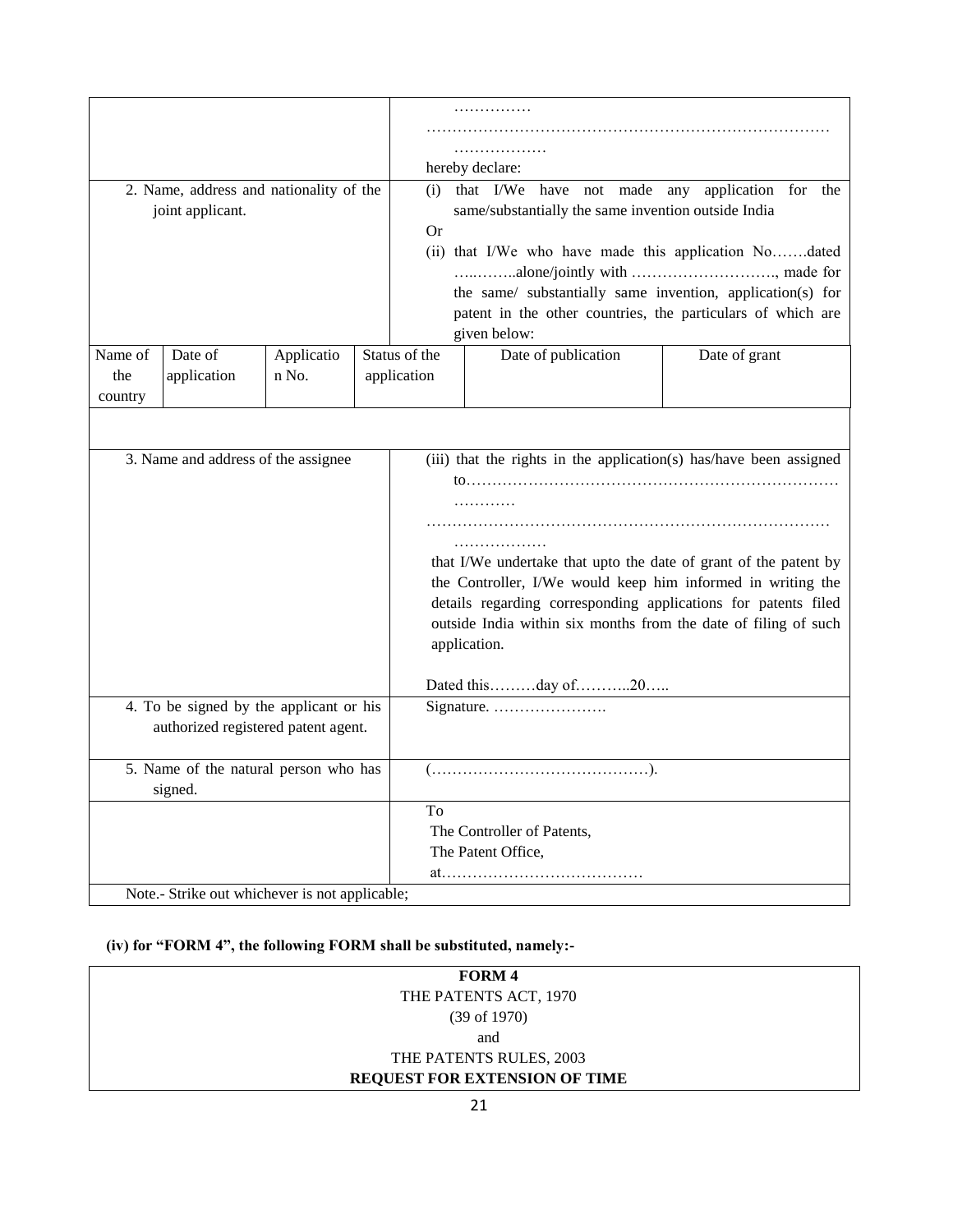| 2. Name, address and nationality of the<br>joint applicant. |                                                                                | (i)<br>Or           | hereby declare:<br>that I/We have not made any application for the<br>same/substantially the same invention outside India<br>(ii) that I/We who have made this application Nodated |                              |                                                                                                                                                                                                                                                                              |               |
|-------------------------------------------------------------|--------------------------------------------------------------------------------|---------------------|------------------------------------------------------------------------------------------------------------------------------------------------------------------------------------|------------------------------|------------------------------------------------------------------------------------------------------------------------------------------------------------------------------------------------------------------------------------------------------------------------------|---------------|
|                                                             |                                                                                |                     |                                                                                                                                                                                    |                              | the same/ substantially same invention, application(s) for<br>patent in the other countries, the particulars of which are<br>given below:                                                                                                                                    |               |
| Name of<br>the<br>country                                   | Date of<br>application                                                         | Applicatio<br>n No. |                                                                                                                                                                                    | Status of the<br>application | Date of publication                                                                                                                                                                                                                                                          | Date of grant |
|                                                             | 3. Name and address of the assignee                                            |                     |                                                                                                                                                                                    |                              | (iii) that the rights in the application(s) has/have been assigned<br>.<br>that I/We undertake that upto the date of grant of the patent by<br>the Controller, I/We would keep him informed in writing the<br>details regarding corresponding applications for patents filed |               |
|                                                             |                                                                                |                     |                                                                                                                                                                                    |                              | outside India within six months from the date of filing of such<br>application.<br>Dated thisday of20                                                                                                                                                                        |               |
|                                                             | 4. To be signed by the applicant or his<br>authorized registered patent agent. |                     |                                                                                                                                                                                    |                              |                                                                                                                                                                                                                                                                              |               |
| 5. Name of the natural person who has<br>signed.            |                                                                                |                     |                                                                                                                                                                                    |                              |                                                                                                                                                                                                                                                                              |               |
|                                                             |                                                                                |                     |                                                                                                                                                                                    | To                           | The Controller of Patents,<br>The Patent Office,                                                                                                                                                                                                                             |               |
|                                                             | Note.- Strike out whichever is not applicable;                                 |                     |                                                                                                                                                                                    |                              |                                                                                                                                                                                                                                                                              |               |

# **(iv) for "FORM 4", the following FORM shall be substituted, namely:-**

| <b>FORM 4</b>                        |  |
|--------------------------------------|--|
| THE PATENTS ACT, 1970                |  |
| $(39 \text{ of } 1970)$              |  |
| and                                  |  |
| THE PATENTS RULES, 2003              |  |
| <b>REQUEST FOR EXTENSION OF TIME</b> |  |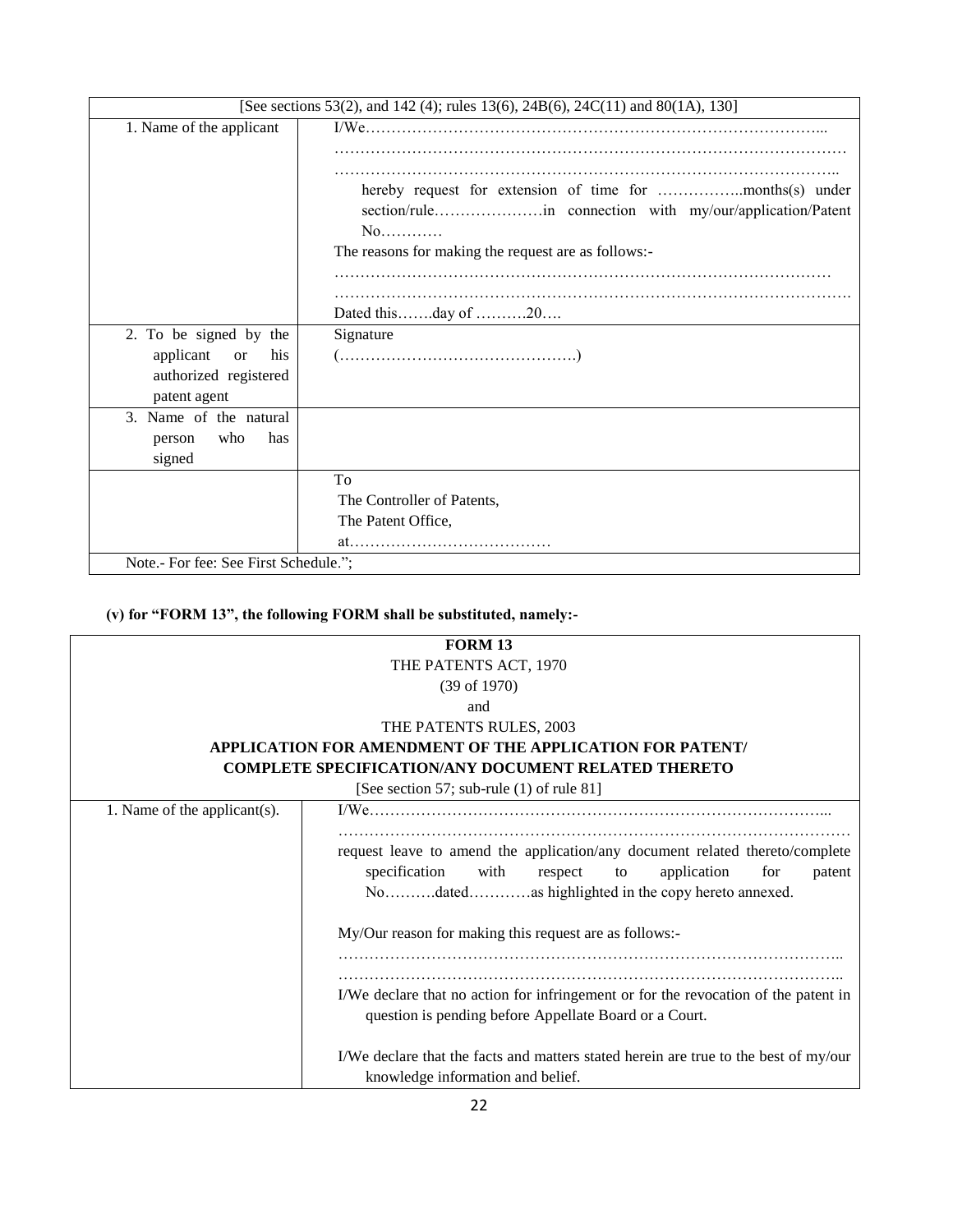| [See sections 53(2), and 142 (4); rules 13(6), 24B(6), 24C(11) and 80(1A), 130]        |                                                                                  |  |  |
|----------------------------------------------------------------------------------------|----------------------------------------------------------------------------------|--|--|
| 1. Name of the applicant                                                               | The reasons for making the request are as follows:-                              |  |  |
|                                                                                        | Dated thisday of 20                                                              |  |  |
| 2. To be signed by the<br>applicant or<br>his<br>authorized registered<br>patent agent | Signature<br>$(\ldots,\ldots,\ldots,\ldots,\ldots,\ldots,\ldots,\ldots,\ldots))$ |  |  |
| 3. Name of the natural<br>who<br>has<br>person<br>signed                               |                                                                                  |  |  |
|                                                                                        | To                                                                               |  |  |
|                                                                                        | The Controller of Patents,<br>The Patent Office,                                 |  |  |
|                                                                                        |                                                                                  |  |  |
| Note.- For fee: See First Schedule.";                                                  |                                                                                  |  |  |

# **(v) for "FORM 13", the following FORM shall be substituted, namely:-**

|                              | <b>FORM 13</b>                                                                                                                                                                                                                                                  |  |
|------------------------------|-----------------------------------------------------------------------------------------------------------------------------------------------------------------------------------------------------------------------------------------------------------------|--|
| THE PATENTS ACT, 1970        |                                                                                                                                                                                                                                                                 |  |
| $(39 \text{ of } 1970)$      |                                                                                                                                                                                                                                                                 |  |
|                              | and                                                                                                                                                                                                                                                             |  |
|                              | THE PATENTS RULES, 2003                                                                                                                                                                                                                                         |  |
|                              | <b>APPLICATION FOR AMENDMENT OF THE APPLICATION FOR PATENT/</b>                                                                                                                                                                                                 |  |
|                              | <b>COMPLETE SPECIFICATION/ANY DOCUMENT RELATED THERETO</b>                                                                                                                                                                                                      |  |
|                              | [See section 57; sub-rule $(1)$ of rule 81]                                                                                                                                                                                                                     |  |
| 1. Name of the applicant(s). |                                                                                                                                                                                                                                                                 |  |
|                              | request leave to amend the application/any document related thereto/complete<br>specification with<br>application<br>respect to<br>for<br>patent<br>Nodatedas highlighted in the copy hereto annexed.<br>My/Our reason for making this request are as follows:- |  |
|                              | I/We declare that no action for infringement or for the revocation of the patent in<br>question is pending before Appellate Board or a Court.                                                                                                                   |  |
|                              | I/We declare that the facts and matters stated herein are true to the best of my/our<br>knowledge information and belief.                                                                                                                                       |  |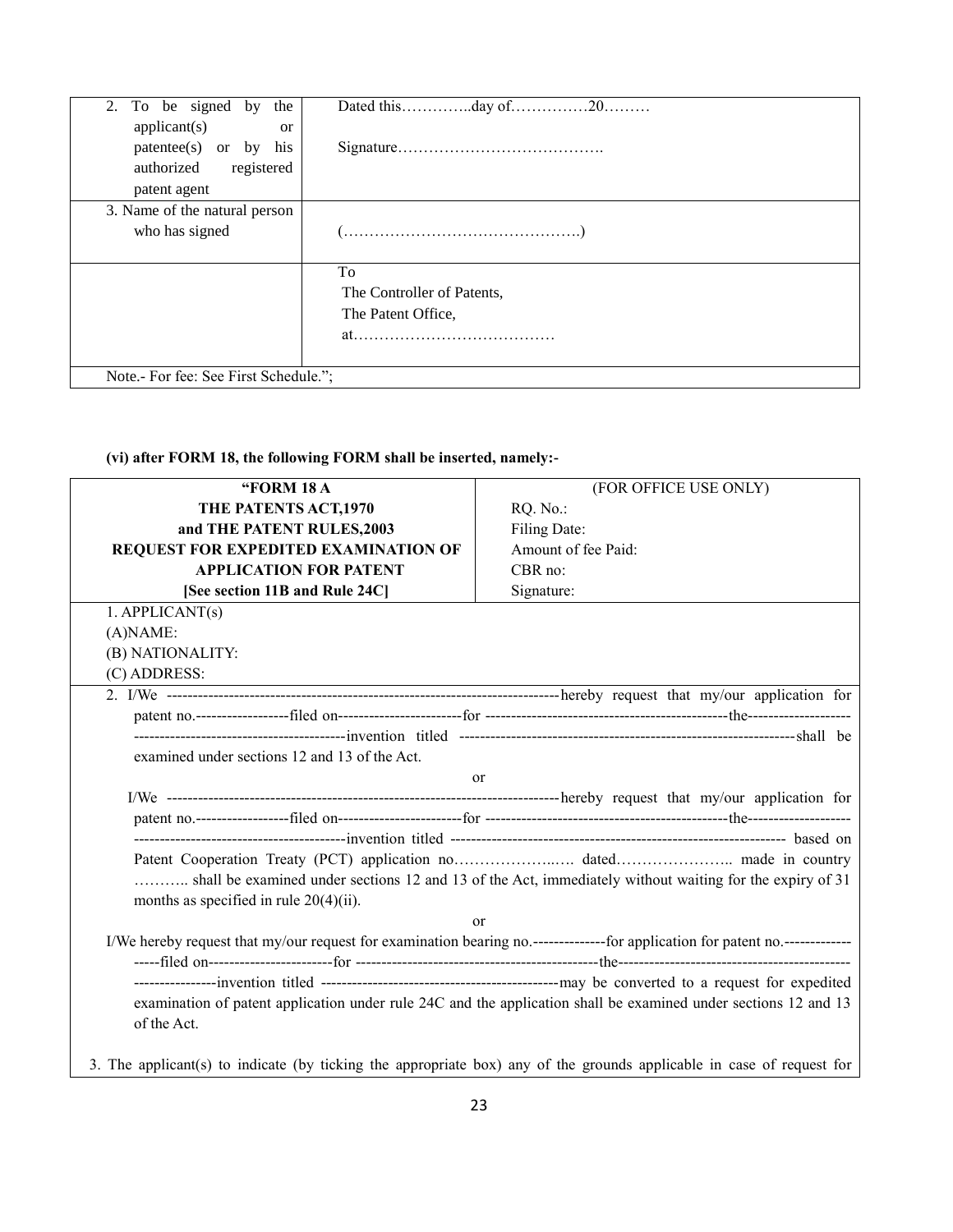| 2. To be signed by the                |                                                                            |
|---------------------------------------|----------------------------------------------------------------------------|
| applicant(s)<br>or                    |                                                                            |
| patentee(s) or by his                 |                                                                            |
| authorized<br>registered              |                                                                            |
| patent agent                          |                                                                            |
| 3. Name of the natural person         |                                                                            |
| who has signed                        | $(\ldots,\ldots,\ldots,\ldots,\ldots,\ldots,\ldots,\ldots,\ldots,\ldots))$ |
|                                       |                                                                            |
|                                       | To                                                                         |
|                                       | The Controller of Patents,                                                 |
|                                       | The Patent Office.                                                         |
|                                       |                                                                            |
|                                       |                                                                            |
| Note.- For fee: See First Schedule."; |                                                                            |

# **(vi) after FORM 18, the following FORM shall be inserted, namely:-**

| "FORM 18 A                                                                                                            | (FOR OFFICE USE ONLY)                                                                                                            |
|-----------------------------------------------------------------------------------------------------------------------|----------------------------------------------------------------------------------------------------------------------------------|
| THE PATENTS ACT, 1970                                                                                                 | RQ. No.:                                                                                                                         |
| and THE PATENT RULES, 2003                                                                                            | Filing Date:                                                                                                                     |
| REQUEST FOR EXPEDITED EXAMINATION OF                                                                                  | Amount of fee Paid:                                                                                                              |
| <b>APPLICATION FOR PATENT</b>                                                                                         | CBR no:                                                                                                                          |
| [See section 11B and Rule 24C]                                                                                        | Signature:                                                                                                                       |
| 1. APPLICANT(s)                                                                                                       |                                                                                                                                  |
| $(A)$ NAME:                                                                                                           |                                                                                                                                  |
| (B) NATIONALITY:                                                                                                      |                                                                                                                                  |
| (C) ADDRESS:                                                                                                          |                                                                                                                                  |
|                                                                                                                       |                                                                                                                                  |
|                                                                                                                       |                                                                                                                                  |
|                                                                                                                       |                                                                                                                                  |
| examined under sections 12 and 13 of the Act.                                                                         |                                                                                                                                  |
|                                                                                                                       | or                                                                                                                               |
|                                                                                                                       |                                                                                                                                  |
|                                                                                                                       |                                                                                                                                  |
|                                                                                                                       |                                                                                                                                  |
|                                                                                                                       |                                                                                                                                  |
|                                                                                                                       | shall be examined under sections 12 and 13 of the Act, immediately without waiting for the expiry of 31                          |
| months as specified in rule $20(4)(ii)$ .                                                                             |                                                                                                                                  |
|                                                                                                                       | $\alpha$                                                                                                                         |
|                                                                                                                       | I/We hereby request that my/our request for examination bearing no.-----------------for application for patent no.-------------- |
|                                                                                                                       |                                                                                                                                  |
|                                                                                                                       |                                                                                                                                  |
|                                                                                                                       | examination of patent application under rule 24C and the application shall be examined under sections 12 and 13                  |
| of the Act.                                                                                                           |                                                                                                                                  |
|                                                                                                                       |                                                                                                                                  |
| 3. The applicant(s) to indicate (by ticking the appropriate box) any of the grounds applicable in case of request for |                                                                                                                                  |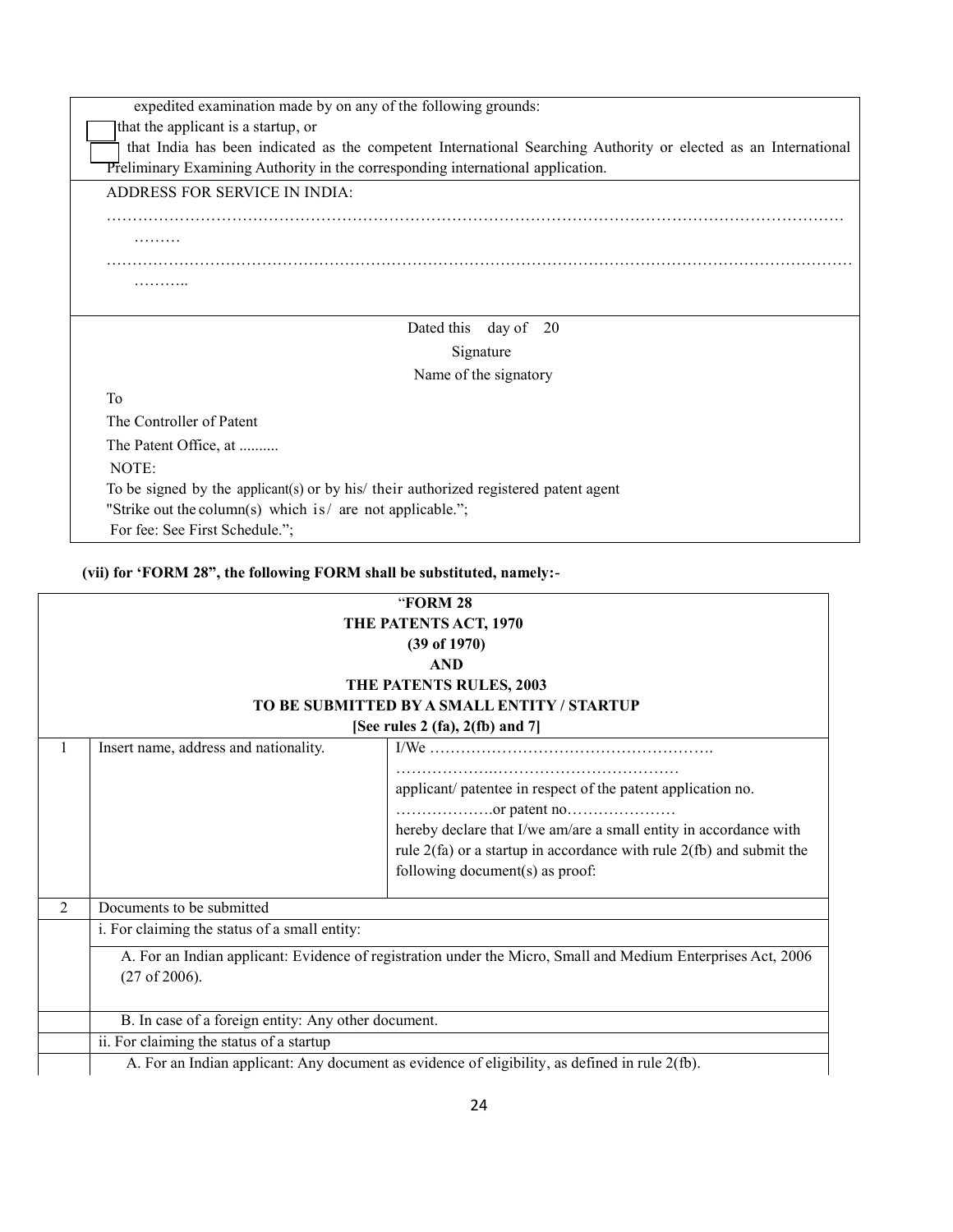| expedited examination made by on any of the following grounds:                                                  |  |  |
|-----------------------------------------------------------------------------------------------------------------|--|--|
| that the applicant is a startup, or                                                                             |  |  |
| that India has been indicated as the competent International Searching Authority or elected as an International |  |  |
| Preliminary Examining Authority in the corresponding international application.                                 |  |  |
| ADDRESS FOR SERVICE IN INDIA:                                                                                   |  |  |
|                                                                                                                 |  |  |
| .                                                                                                               |  |  |
|                                                                                                                 |  |  |
| .                                                                                                               |  |  |
|                                                                                                                 |  |  |
| Dated this day of 20                                                                                            |  |  |
| Signature                                                                                                       |  |  |
| Name of the signatory                                                                                           |  |  |
| T <sub>o</sub>                                                                                                  |  |  |
| The Controller of Patent                                                                                        |  |  |
| The Patent Office, at                                                                                           |  |  |
| NOTE:                                                                                                           |  |  |
| To be signed by the applicant(s) or by his/ their authorized registered patent agent                            |  |  |
| "Strike out the column(s) which is / are not applicable.";                                                      |  |  |
| For fee: See First Schedule.";                                                                                  |  |  |

#### **(vii) for "FORM 28", the following FORM shall be substituted, namely:-**

|                |                                                     | "FORM 28                                                                                                                                                                         |  |
|----------------|-----------------------------------------------------|----------------------------------------------------------------------------------------------------------------------------------------------------------------------------------|--|
|                |                                                     | THE PATENTS ACT, 1970                                                                                                                                                            |  |
|                |                                                     | (39 of 1970)                                                                                                                                                                     |  |
|                |                                                     | <b>AND</b>                                                                                                                                                                       |  |
|                |                                                     | THE PATENTS RULES, 2003                                                                                                                                                          |  |
|                |                                                     | TO BE SUBMITTED BY A SMALL ENTITY / STARTUP                                                                                                                                      |  |
|                | [See rules 2 (fa), 2(fb) and 7]                     |                                                                                                                                                                                  |  |
| 1              | Insert name, address and nationality.               |                                                                                                                                                                                  |  |
|                |                                                     | applicant/ patentee in respect of the patent application no.                                                                                                                     |  |
|                |                                                     | hereby declare that I/we am/are a small entity in accordance with<br>rule $2(fa)$ or a startup in accordance with rule $2(fb)$ and submit the<br>following document(s) as proof: |  |
| $\overline{2}$ | Documents to be submitted                           |                                                                                                                                                                                  |  |
|                | i. For claiming the status of a small entity:       |                                                                                                                                                                                  |  |
|                | $(27 \text{ of } 2006).$                            | A. For an Indian applicant: Evidence of registration under the Micro, Small and Medium Enterprises Act, 2006                                                                     |  |
|                | B. In case of a foreign entity: Any other document. |                                                                                                                                                                                  |  |
|                | ii. For claiming the status of a startup            |                                                                                                                                                                                  |  |
|                |                                                     | A. For an Indian applicant: Any document as evidence of eligibility, as defined in rule 2(fb).                                                                                   |  |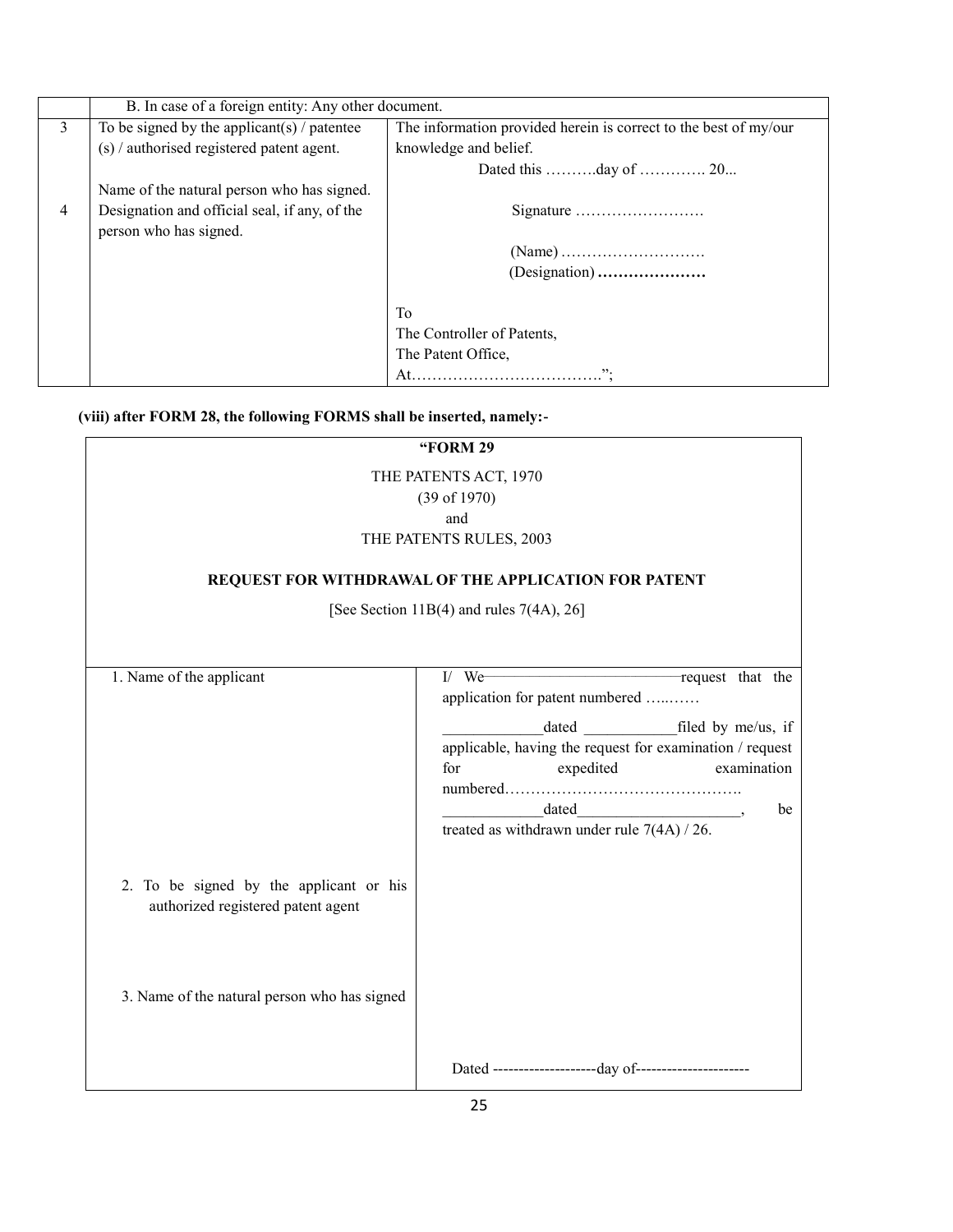|               | B. In case of a foreign entity: Any other document.     |                                                                  |  |
|---------------|---------------------------------------------------------|------------------------------------------------------------------|--|
| $\mathcal{E}$ | To be signed by the applicant(s) $\frac{1}{2}$ patentee | The information provided herein is correct to the best of my/our |  |
|               | (s) / authorised registered patent agent.               | knowledge and belief.                                            |  |
|               |                                                         |                                                                  |  |
|               | Name of the natural person who has signed.              |                                                                  |  |
| 4             | Designation and official seal, if any, of the           | Signature $\dots\dots\dots\dots\dots\dots\dots\dots\dots$        |  |
|               | person who has signed.                                  |                                                                  |  |
|               |                                                         |                                                                  |  |
|               |                                                         |                                                                  |  |
|               |                                                         |                                                                  |  |
|               |                                                         | To                                                               |  |
|               |                                                         | The Controller of Patents,                                       |  |
|               |                                                         | The Patent Office.                                               |  |
|               |                                                         | , 2                                                              |  |

# **(viii) after FORM 28, the following FORMS shall be inserted, namely:-**

| "FORM 29                                                                      |                                                                                          |  |  |  |  |  |                                                      |
|-------------------------------------------------------------------------------|------------------------------------------------------------------------------------------|--|--|--|--|--|------------------------------------------------------|
| THE PATENTS ACT, 1970<br>(39 of 1970)<br>and<br>THE PATENTS RULES, 2003       |                                                                                          |  |  |  |  |  |                                                      |
|                                                                               |                                                                                          |  |  |  |  |  | REQUEST FOR WITHDRAWAL OF THE APPLICATION FOR PATENT |
|                                                                               |                                                                                          |  |  |  |  |  | [See Section 11B(4) and rules $7(4A)$ , 26]          |
|                                                                               |                                                                                          |  |  |  |  |  |                                                      |
| 1. Name of the applicant                                                      | I/ We request that the<br>application for patent numbered                                |  |  |  |  |  |                                                      |
|                                                                               | applicable, having the request for examination / request<br>expedited examination<br>for |  |  |  |  |  |                                                      |
|                                                                               | $data$ $,$<br>be                                                                         |  |  |  |  |  |                                                      |
|                                                                               | treated as withdrawn under rule $7(4A)/26$ .                                             |  |  |  |  |  |                                                      |
| 2. To be signed by the applicant or his<br>authorized registered patent agent |                                                                                          |  |  |  |  |  |                                                      |
| 3. Name of the natural person who has signed                                  |                                                                                          |  |  |  |  |  |                                                      |
|                                                                               | Dated ---------------------day of----------------------                                  |  |  |  |  |  |                                                      |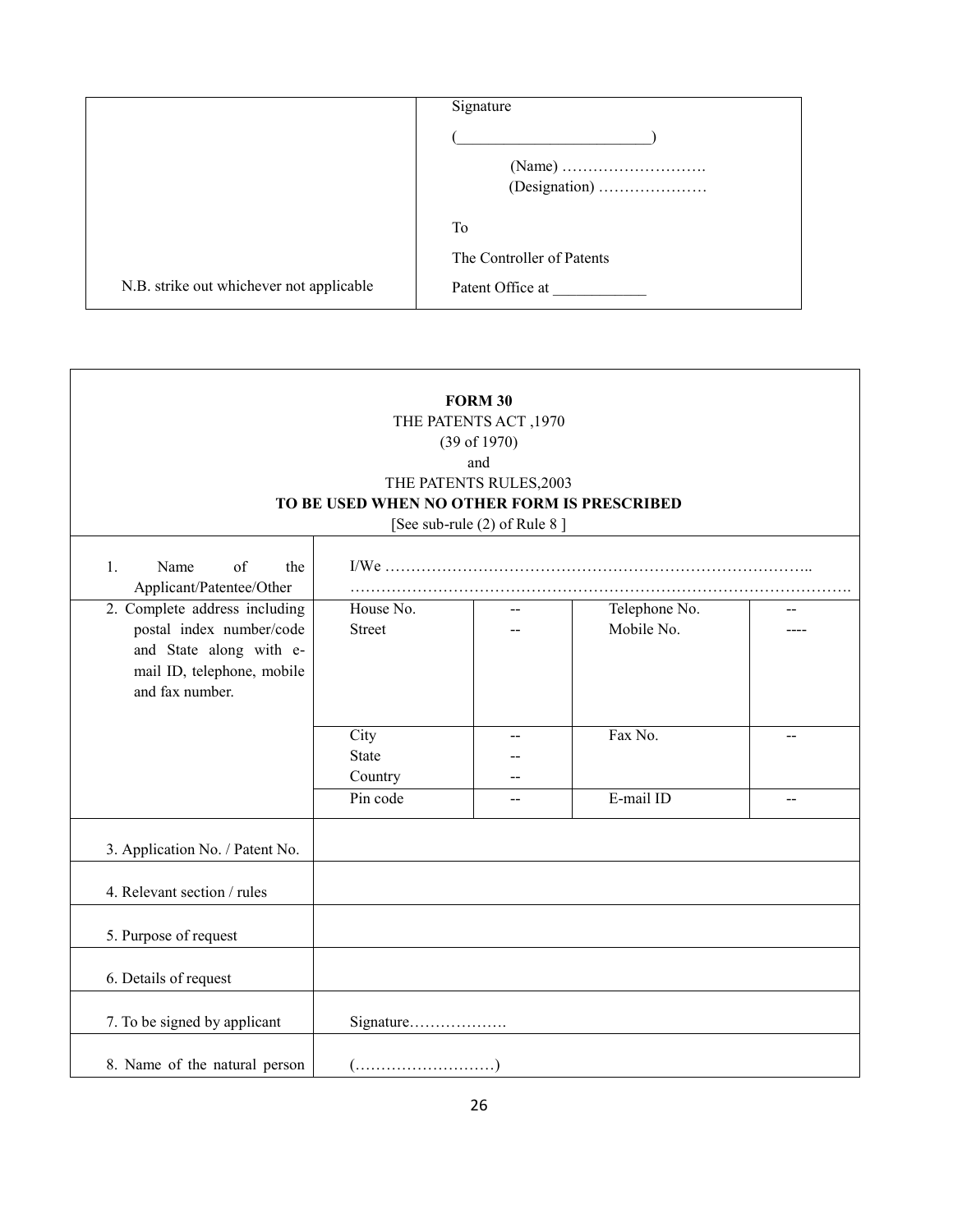|                                          | Signature                 |
|------------------------------------------|---------------------------|
|                                          |                           |
|                                          |                           |
|                                          | (Designation)             |
|                                          | T <sub>o</sub>            |
|                                          | The Controller of Patents |
| N.B. strike out whichever not applicable | Patent Office at          |

| <b>FORM 30</b><br>THE PATENTS ACT, 1970<br>(39 of 1970)<br>and<br>THE PATENTS RULES, 2003<br>TO BE USED WHEN NO OTHER FORM IS PRESCRIBED<br>[See sub-rule (2) of Rule 8] |                                 |      |                             |     |  |  |
|--------------------------------------------------------------------------------------------------------------------------------------------------------------------------|---------------------------------|------|-----------------------------|-----|--|--|
| of<br>1.<br>Name<br>the<br>Applicant/Patentee/Other                                                                                                                      |                                 |      |                             |     |  |  |
| 2. Complete address including<br>postal index number/code<br>and State along with e-<br>mail ID, telephone, mobile<br>and fax number.                                    | House No.<br><b>Street</b>      |      | Telephone No.<br>Mobile No. |     |  |  |
|                                                                                                                                                                          | City<br><b>State</b><br>Country | --   | Fax No.                     | $-$ |  |  |
|                                                                                                                                                                          | Pin code                        | $-1$ | E-mail ID                   | $-$ |  |  |
| 3. Application No. / Patent No.                                                                                                                                          |                                 |      |                             |     |  |  |
| 4. Relevant section / rules                                                                                                                                              |                                 |      |                             |     |  |  |
| 5. Purpose of request                                                                                                                                                    |                                 |      |                             |     |  |  |
| 6. Details of request                                                                                                                                                    |                                 |      |                             |     |  |  |
| 7. To be signed by applicant<br>Signature                                                                                                                                |                                 |      |                             |     |  |  |
| 8. Name of the natural person<br>$(\ldots, \ldots, \ldots, \ldots, \ldots, \ldots, \ldots))$                                                                             |                                 |      |                             |     |  |  |